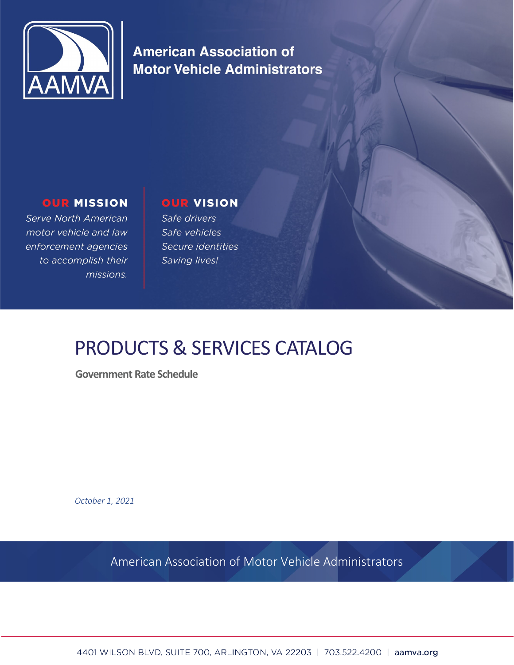

**American Association of Motor Vehicle Administrators** 

# **OUR MISSION**

Serve North American motor vehicle and law enforcement agencies to accomplish their missions.

# **OUR VISION**

Safe drivers Safe vehicles Secure identities Saving lives!

# PRODUCTS & SERVICES CATALOG

**Government Rate Schedule** 

*October 1, 2021*

American Association of Motor Vehicle Administrators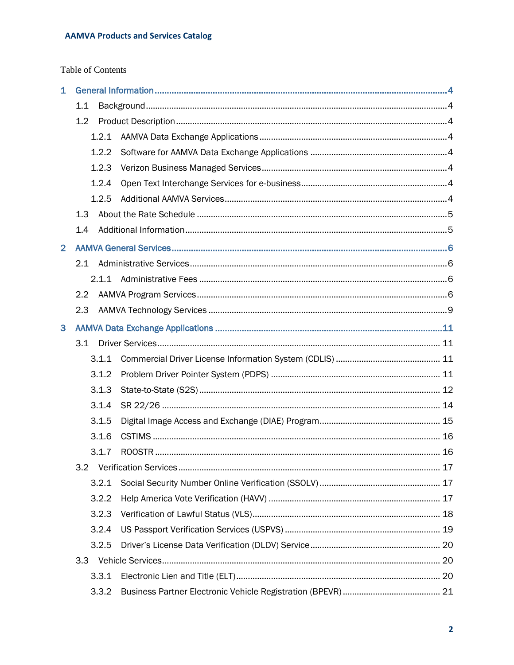# Table of Contents

| $\overline{1}$ |                |       |  |  |
|----------------|----------------|-------|--|--|
|                | 1.1            |       |  |  |
|                | 1.2            |       |  |  |
|                |                | 1.2.1 |  |  |
|                |                | 1.2.2 |  |  |
|                |                | 1.2.3 |  |  |
|                |                | 1.2.4 |  |  |
|                |                | 1.2.5 |  |  |
|                | 1.3            |       |  |  |
|                | 1.4            |       |  |  |
| $\overline{2}$ |                |       |  |  |
|                | 2.1            |       |  |  |
|                |                |       |  |  |
|                | 2.2            |       |  |  |
|                | 2.3            |       |  |  |
| 3              |                |       |  |  |
|                | 3.1            |       |  |  |
|                |                | 3.1.1 |  |  |
|                |                | 3.1.2 |  |  |
|                |                | 3.1.3 |  |  |
|                |                | 3.1.4 |  |  |
|                |                | 3.1.5 |  |  |
|                |                | 3.1.6 |  |  |
|                |                | 3.1.7 |  |  |
|                | 3.2            |       |  |  |
|                |                | 3.2.1 |  |  |
|                |                | 3.2.2 |  |  |
|                | 3.2.3<br>3.2.4 |       |  |  |
|                |                |       |  |  |
|                |                | 3.2.5 |  |  |
|                |                |       |  |  |
|                |                | 3.3.1 |  |  |
|                |                | 3.3.2 |  |  |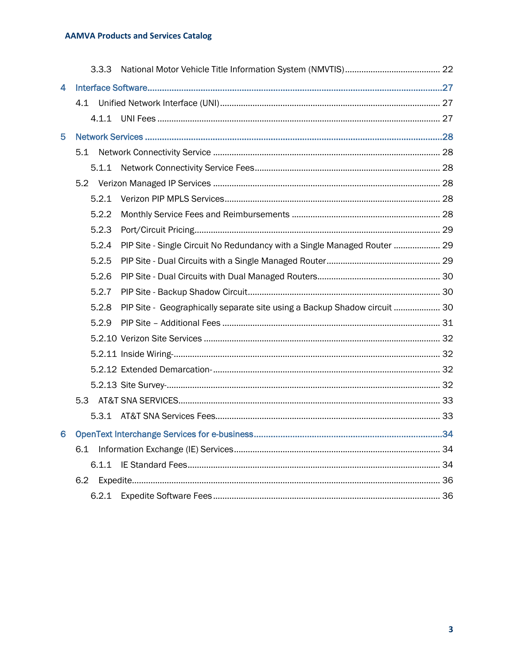|   | 3.3.3 |                                                                           |  |
|---|-------|---------------------------------------------------------------------------|--|
| 4 |       |                                                                           |  |
|   |       |                                                                           |  |
|   |       |                                                                           |  |
| 5 |       |                                                                           |  |
|   | 5.1   |                                                                           |  |
|   | 5.1.1 |                                                                           |  |
|   |       |                                                                           |  |
|   | 5.2.1 |                                                                           |  |
|   | 5.2.2 |                                                                           |  |
|   | 5.2.3 |                                                                           |  |
|   | 5.2.4 | PIP Site - Single Circuit No Redundancy with a Single Managed Router  29  |  |
|   | 5.2.5 |                                                                           |  |
|   | 5.2.6 |                                                                           |  |
|   | 5.2.7 |                                                                           |  |
|   | 5.2.8 | PIP Site - Geographically separate site using a Backup Shadow circuit  30 |  |
|   | 5.2.9 |                                                                           |  |
|   |       |                                                                           |  |
|   |       |                                                                           |  |
|   |       |                                                                           |  |
|   |       |                                                                           |  |
|   |       |                                                                           |  |
|   |       |                                                                           |  |
| 6 |       |                                                                           |  |
|   |       |                                                                           |  |
|   | 6.1.1 |                                                                           |  |
|   | 6.2   |                                                                           |  |
|   |       |                                                                           |  |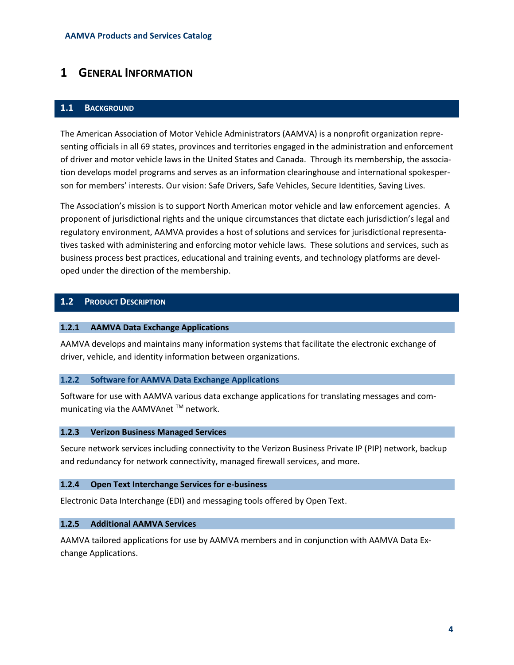# <span id="page-3-0"></span>**1 GENERAL INFORMATION**

#### <span id="page-3-1"></span>**1.1 BACKGROUND**

The American Association of Motor Vehicle Administrators (AAMVA) is a nonprofit organization representing officials in all 69 states, provinces and territories engaged in the administration and enforcement of driver and motor vehicle laws in the United States and Canada. Through its membership, the association develops model programs and serves as an information clearinghouse and international spokesperson for members' interests. Our vision: Safe Drivers, Safe Vehicles, Secure Identities, Saving Lives.

The Association's mission is to support North American motor vehicle and law enforcement agencies. A proponent of jurisdictional rights and the unique circumstances that dictate each jurisdiction's legal and regulatory environment, AAMVA provides a host of solutions and services for jurisdictional representatives tasked with administering and enforcing motor vehicle laws. These solutions and services, such as business process best practices, educational and training events, and technology platforms are developed under the direction of the membership.

## <span id="page-3-2"></span>**1.2 PRODUCT DESCRIPTION**

#### <span id="page-3-3"></span>**1.2.1 AAMVA Data Exchange Applications**

AAMVA develops and maintains many information systems that facilitate the electronic exchange of driver, vehicle, and identity information between organizations.

#### <span id="page-3-4"></span>**1.2.2 Software for AAMVA Data Exchange Applications**

Software for use with AAMVA various data exchange applications for translating messages and communicating via the AAMVAnet<sup>™</sup> network.

#### <span id="page-3-5"></span>**1.2.3 Verizon Business Managed Services**

Secure network services including connectivity to the Verizon Business Private IP (PIP) network, backup and redundancy for network connectivity, managed firewall services, and more.

#### <span id="page-3-6"></span>**1.2.4 Open Text Interchange Services for e-business**

Electronic Data Interchange (EDI) and messaging tools offered by Open Text.

#### <span id="page-3-7"></span>**1.2.5 Additional AAMVA Services**

AAMVA tailored applications for use by AAMVA members and in conjunction with AAMVA Data Exchange Applications.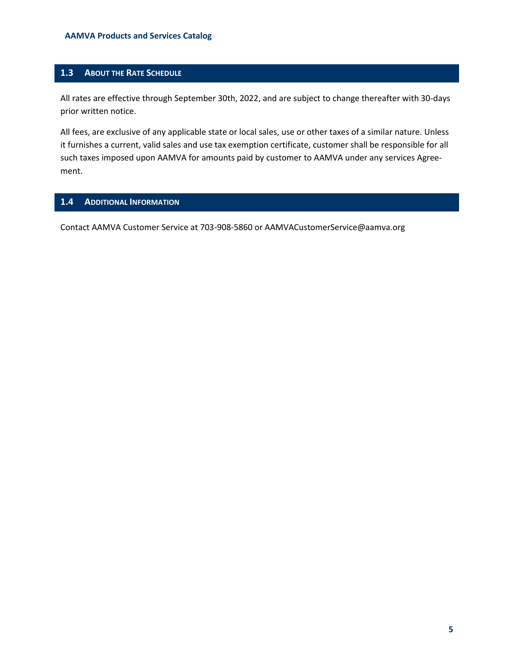# <span id="page-4-0"></span>**1.3 ABOUT THE RATE SCHEDULE**

All rates are effective through September 30th, 2022, and are subject to change thereafter with 30-days prior written notice.

All fees, are exclusive of any applicable state or local sales, use or other taxes of a similar nature. Unless it furnishes a current, valid sales and use tax exemption certificate, customer shall be responsible for all such taxes imposed upon AAMVA for amounts paid by customer to AAMVA under any services Agreement.

# <span id="page-4-1"></span>**1.4 ADDITIONAL INFORMATION**

Contact AAMVA Customer Service at 703-908-5860 or AAMVACustomerService@aamva.org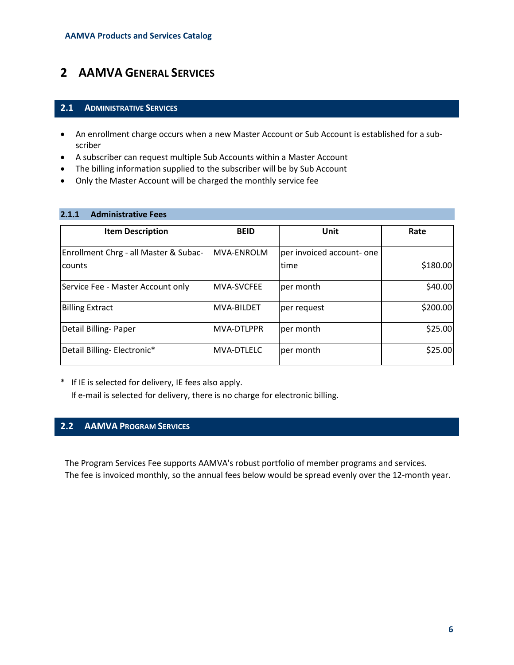# <span id="page-5-0"></span>**2 AAMVA GENERAL SERVICES**

#### <span id="page-5-1"></span>**2.1 ADMINISTRATIVE SERVICES**

- An enrollment charge occurs when a new Master Account or Sub Account is established for a subscriber
- A subscriber can request multiple Sub Accounts within a Master Account
- The billing information supplied to the subscriber will be by Sub Account
- Only the Master Account will be charged the monthly service fee

<span id="page-5-2"></span>

| 2.1.1<br><b>Administrative Fees</b> |
|-------------------------------------|
|-------------------------------------|

| <b>Item Description</b>               | <b>BEID</b>       | Unit                      | Rate     |
|---------------------------------------|-------------------|---------------------------|----------|
| Enrollment Chrg - all Master & Subac- | MVA-ENROLM        | per invoiced account- one |          |
| counts                                |                   | time                      | \$180.00 |
| Service Fee - Master Account only     | MVA-SVCFEE        | per month                 | \$40.00  |
| <b>Billing Extract</b>                | <b>MVA-BILDET</b> | per request               | \$200.00 |
| Detail Billing-Paper                  | <b>MVA-DTLPPR</b> | per month                 | \$25.00  |
| Detail Billing-Electronic*            | <b>MVA-DTLELC</b> | per month                 | \$25.00  |

\* If IE is selected for delivery, IE fees also apply.

If e-mail is selected for delivery, there is no charge for electronic billing.

# <span id="page-5-3"></span>**2.2 AAMVA PROGRAM SERVICES**

The Program Services Fee supports AAMVA's robust portfolio of member programs and services. The fee is invoiced monthly, so the annual fees below would be spread evenly over the 12-month year.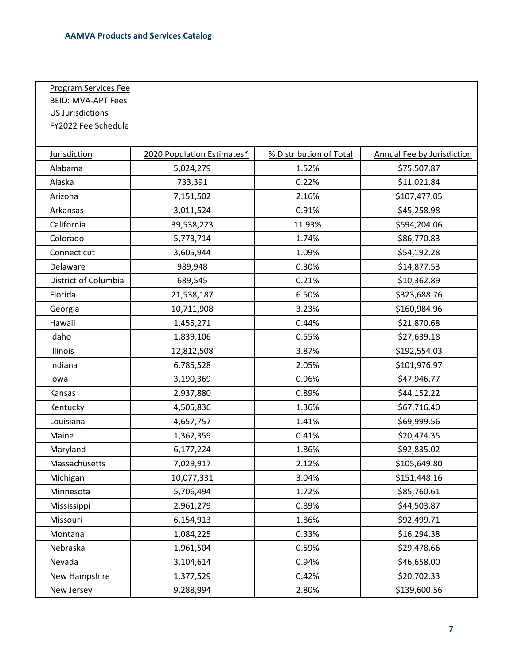Program Services Fee

| <b>BEID: MVA-APT Fees</b> |                            |                         |                                   |
|---------------------------|----------------------------|-------------------------|-----------------------------------|
| <b>US Jurisdictions</b>   |                            |                         |                                   |
| FY2022 Fee Schedule       |                            |                         |                                   |
|                           |                            |                         |                                   |
| <b>Jurisdiction</b>       | 2020 Population Estimates* | % Distribution of Total | <b>Annual Fee by Jurisdiction</b> |
| Alabama                   | 5,024,279                  | 1.52%                   | \$75,507.87                       |
| Alaska                    | 733,391                    | 0.22%                   | \$11,021.84                       |
| Arizona                   | 7,151,502                  | 2.16%                   | \$107,477.05                      |
| Arkansas                  | 3,011,524                  | 0.91%                   | \$45,258.98                       |
| California                | 39,538,223                 | 11.93%                  | \$594,204.06                      |
| Colorado                  | 5,773,714                  | 1.74%                   | \$86,770.83                       |
| Connecticut               | 3,605,944                  | 1.09%                   | \$54,192.28                       |
| Delaware                  | 989,948                    | 0.30%                   | \$14,877.53                       |
| District of Columbia      | 689,545                    | 0.21%                   | \$10,362.89                       |
| Florida                   | 21,538,187                 | 6.50%                   | \$323,688.76                      |
| Georgia                   | 10,711,908                 | 3.23%                   | \$160,984.96                      |
| Hawaii                    | 1,455,271                  | 0.44%                   | \$21,870.68                       |
| Idaho                     | 1,839,106                  | 0.55%                   | \$27,639.18                       |
| Illinois                  | 12,812,508                 | 3.87%                   | \$192,554.03                      |
| Indiana                   | 6,785,528                  | 2.05%                   | \$101,976.97                      |
| lowa                      | 3,190,369                  | 0.96%                   | \$47,946.77                       |
| Kansas                    | 2,937,880                  | 0.89%                   | \$44,152.22                       |
| Kentucky                  | 4,505,836                  | 1.36%                   | \$67,716.40                       |
| Louisiana                 | 4,657,757                  | 1.41%                   | \$69,999.56                       |
| Maine                     | 1,362,359                  | 0.41%                   | \$20,474.35                       |
| Maryland                  | 6,177,224                  | 1.86%                   | \$92,835.02                       |
| Massachusetts             | 7,029,917                  | 2.12%                   | \$105,649.80                      |
| Michigan                  | 10,077,331                 | 3.04%                   | \$151,448.16                      |
| Minnesota                 | 5,706,494                  | 1.72%                   | \$85,760.61                       |
| Mississippi               | 2,961,279                  | 0.89%                   | \$44,503.87                       |
| Missouri                  | 6,154,913                  | 1.86%                   | \$92,499.71                       |
| Montana                   | 1,084,225                  | 0.33%                   | \$16,294.38                       |
| Nebraska                  | 1,961,504                  | 0.59%                   | \$29,478.66                       |
| Nevada                    | 3,104,614                  | 0.94%                   | \$46,658.00                       |
| New Hampshire             | 1,377,529                  | 0.42%                   | \$20,702.33                       |
| New Jersey                | 9,288,994                  | 2.80%                   | \$139,600.56                      |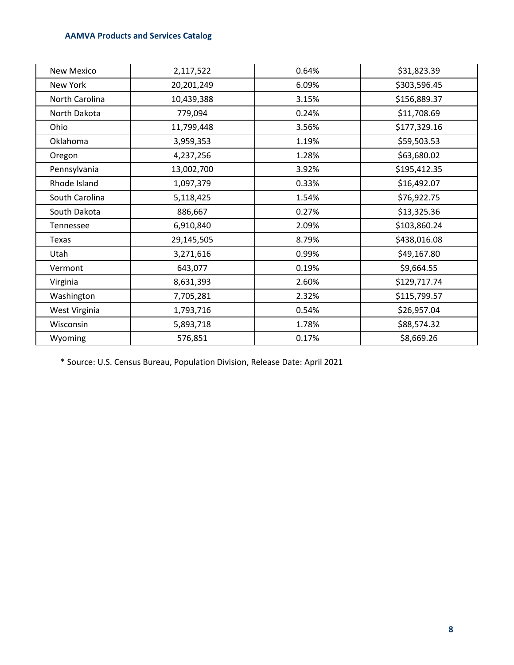| New Mexico     | 2,117,522  | 0.64% | \$31,823.39  |
|----------------|------------|-------|--------------|
| New York       | 20,201,249 | 6.09% | \$303,596.45 |
| North Carolina | 10,439,388 | 3.15% | \$156,889.37 |
| North Dakota   | 779,094    | 0.24% | \$11,708.69  |
| Ohio           | 11,799,448 | 3.56% | \$177,329.16 |
| Oklahoma       | 3,959,353  | 1.19% | \$59,503.53  |
| Oregon         | 4,237,256  | 1.28% | \$63,680.02  |
| Pennsylvania   | 13,002,700 | 3.92% | \$195,412.35 |
| Rhode Island   | 1,097,379  | 0.33% | \$16,492.07  |
| South Carolina | 5,118,425  | 1.54% | \$76,922.75  |
| South Dakota   | 886,667    | 0.27% | \$13,325.36  |
| Tennessee      | 6,910,840  | 2.09% | \$103,860.24 |
| Texas          | 29,145,505 | 8.79% | \$438,016.08 |
| Utah           | 3,271,616  | 0.99% | \$49,167.80  |
| Vermont        | 643,077    | 0.19% | \$9,664.55   |
| Virginia       | 8,631,393  | 2.60% | \$129,717.74 |
| Washington     | 7,705,281  | 2.32% | \$115,799.57 |
| West Virginia  | 1,793,716  | 0.54% | \$26,957.04  |
| Wisconsin      | 5,893,718  | 1.78% | \$88,574.32  |
| Wyoming        | 576,851    | 0.17% | \$8,669.26   |

\* Source: U.S. Census Bureau, Population Division, Release Date: April 2021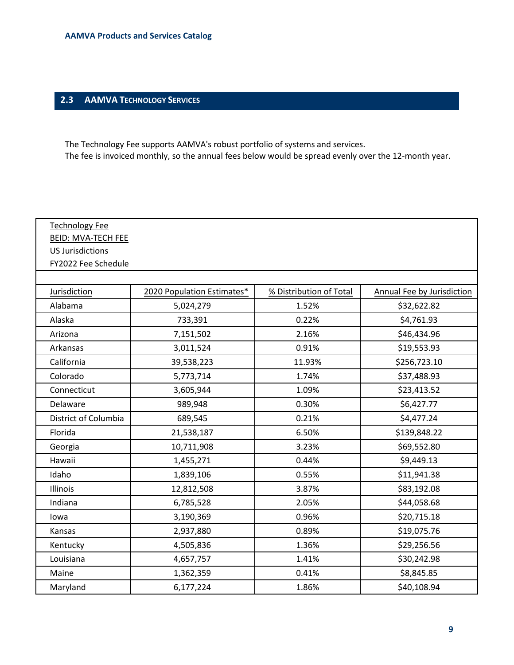# <span id="page-8-0"></span>**2.3 AAMVA TECHNOLOGY SERVICES**

The Technology Fee supports AAMVA's robust portfolio of systems and services. The fee is invoiced monthly, so the annual fees below would be spread evenly over the 12-month year.

| <b>Technology Fee</b>     |                            |                         |                            |  |  |  |  |
|---------------------------|----------------------------|-------------------------|----------------------------|--|--|--|--|
| <b>BEID: MVA-TECH FEE</b> |                            |                         |                            |  |  |  |  |
| <b>US Jurisdictions</b>   |                            |                         |                            |  |  |  |  |
| FY2022 Fee Schedule       |                            |                         |                            |  |  |  |  |
|                           |                            |                         |                            |  |  |  |  |
| Jurisdiction              | 2020 Population Estimates* | % Distribution of Total | Annual Fee by Jurisdiction |  |  |  |  |
| Alabama                   | 5,024,279                  | 1.52%                   | \$32,622.82                |  |  |  |  |
| Alaska                    | 733,391                    | 0.22%                   | \$4,761.93                 |  |  |  |  |
| Arizona                   | 7,151,502                  | 2.16%                   | \$46,434.96                |  |  |  |  |
| Arkansas                  | 3,011,524                  | 0.91%                   | \$19,553.93                |  |  |  |  |
| California                | 39,538,223                 | 11.93%                  | \$256,723.10               |  |  |  |  |
| Colorado                  | 5,773,714                  | 1.74%                   | \$37,488.93                |  |  |  |  |
| Connecticut               | 3,605,944                  | 1.09%                   | \$23,413.52                |  |  |  |  |
| Delaware                  | 989,948                    | 0.30%                   | \$6,427.77                 |  |  |  |  |
| District of Columbia      | 689,545                    | 0.21%                   | \$4,477.24                 |  |  |  |  |
| Florida                   | 21,538,187                 | 6.50%                   | \$139,848.22               |  |  |  |  |
| Georgia                   | 10,711,908                 | 3.23%                   | \$69,552.80                |  |  |  |  |
| Hawaii                    | 1,455,271                  | 0.44%                   | \$9,449.13                 |  |  |  |  |
| Idaho                     | 1,839,106                  | 0.55%                   | \$11,941.38                |  |  |  |  |
| Illinois                  | 12,812,508                 | 3.87%                   | \$83,192.08                |  |  |  |  |
| Indiana                   | 6,785,528                  | 2.05%                   | \$44,058.68                |  |  |  |  |
| lowa                      | 3,190,369                  | 0.96%                   | \$20,715.18                |  |  |  |  |
| Kansas                    | 2,937,880                  | 0.89%                   | \$19,075.76                |  |  |  |  |
| Kentucky                  | 4,505,836                  | 1.36%                   | \$29,256.56                |  |  |  |  |
| Louisiana                 | 4,657,757                  | 1.41%                   | \$30,242.98                |  |  |  |  |
| Maine                     | 1,362,359                  | 0.41%                   | \$8,845.85                 |  |  |  |  |
| Maryland                  | 6,177,224                  | 1.86%                   | \$40,108.94                |  |  |  |  |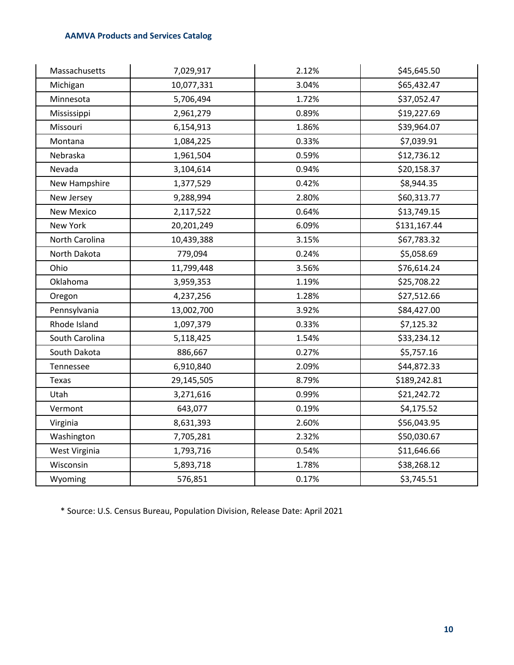| Massachusetts  | 7,029,917  | 2.12% | \$45,645.50  |
|----------------|------------|-------|--------------|
| Michigan       | 10,077,331 | 3.04% | \$65,432.47  |
| Minnesota      | 5,706,494  | 1.72% | \$37,052.47  |
| Mississippi    | 2,961,279  | 0.89% | \$19,227.69  |
| Missouri       | 6,154,913  | 1.86% | \$39,964.07  |
| Montana        | 1,084,225  | 0.33% | \$7,039.91   |
| Nebraska       | 1,961,504  | 0.59% | \$12,736.12  |
| Nevada         | 3,104,614  | 0.94% | \$20,158.37  |
| New Hampshire  | 1,377,529  | 0.42% | \$8,944.35   |
| New Jersey     | 9,288,994  | 2.80% | \$60,313.77  |
| New Mexico     | 2,117,522  | 0.64% | \$13,749.15  |
| New York       | 20,201,249 | 6.09% | \$131,167.44 |
| North Carolina | 10,439,388 | 3.15% | \$67,783.32  |
| North Dakota   | 779,094    | 0.24% | \$5,058.69   |
| Ohio           | 11,799,448 | 3.56% | \$76,614.24  |
| Oklahoma       | 3,959,353  | 1.19% | \$25,708.22  |
| Oregon         | 4,237,256  | 1.28% | \$27,512.66  |
| Pennsylvania   | 13,002,700 | 3.92% | \$84,427.00  |
| Rhode Island   | 1,097,379  | 0.33% | \$7,125.32   |
| South Carolina | 5,118,425  | 1.54% | \$33,234.12  |
| South Dakota   | 886,667    | 0.27% | \$5,757.16   |
| Tennessee      | 6,910,840  | 2.09% | \$44,872.33  |
| Texas          | 29,145,505 | 8.79% | \$189,242.81 |
| Utah           | 3,271,616  | 0.99% | \$21,242.72  |
| Vermont        | 643,077    | 0.19% | \$4,175.52   |
| Virginia       | 8,631,393  | 2.60% | \$56,043.95  |
| Washington     | 7,705,281  | 2.32% | \$50,030.67  |
| West Virginia  | 1,793,716  | 0.54% | \$11,646.66  |
| Wisconsin      | 5,893,718  | 1.78% | \$38,268.12  |
| Wyoming        | 576,851    | 0.17% | \$3,745.51   |

\* Source: U.S. Census Bureau, Population Division, Release Date: April 2021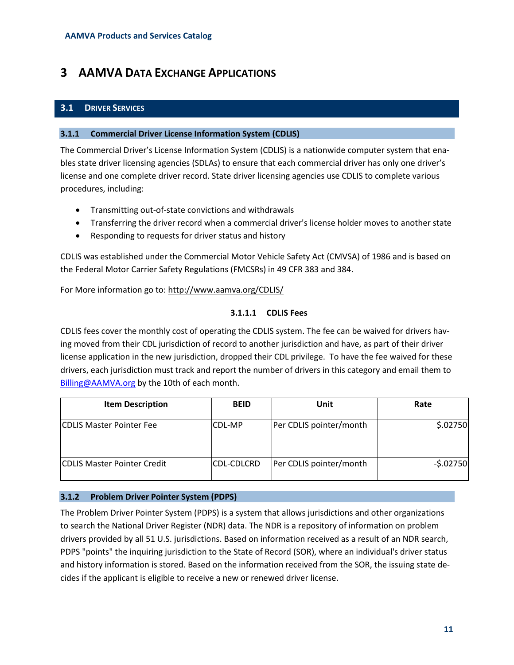# <span id="page-10-0"></span>**3 AAMVA DATA EXCHANGE APPLICATIONS**

# <span id="page-10-1"></span>**3.1 DRIVER SERVICES**

## <span id="page-10-2"></span>**3.1.1 Commercial Driver License Information System (CDLIS)**

The Commercial Driver's License Information System (CDLIS) is a nationwide computer system that enables state driver licensing agencies (SDLAs) to ensure that each commercial driver has only one driver's license and one complete driver record. State driver licensing agencies use CDLIS to complete various procedures, including:

- Transmitting out-of-state convictions and withdrawals
- Transferring the driver record when a commercial driver's license holder moves to another state
- Responding to requests for driver status and history

CDLIS was established under the Commercial Motor Vehicle Safety Act (CMVSA) of 1986 and is based on the Federal Motor Carrier Safety Regulations (FMCSRs) in 49 CFR 383 and 384.

For More information go to:<http://www.aamva.org/CDLIS/>

## **3.1.1.1 CDLIS Fees**

CDLIS fees cover the monthly cost of operating the CDLIS system. The fee can be waived for drivers having moved from their CDL jurisdiction of record to another jurisdiction and have, as part of their driver license application in the new jurisdiction, dropped their CDL privilege. To have the fee waived for these drivers, each jurisdiction must track and report the number of drivers in this category and email them to [Billing@AAMVA.org](mailto:Billing@AAMVA.org) by the 10th of each month.

| <b>Item Description</b>            | <b>BEID</b>   | <b>Unit</b>             | Rate       |
|------------------------------------|---------------|-------------------------|------------|
| <b>CDLIS Master Pointer Fee</b>    | <b>CDL-MP</b> | Per CDLIS pointer/month | \$.02750   |
| <b>CDLIS Master Pointer Credit</b> | CDL-CDLCRD    | Per CDLIS pointer/month | $-5.02750$ |

## <span id="page-10-3"></span>**3.1.2 Problem Driver Pointer System (PDPS)**

The Problem Driver Pointer System (PDPS) is a system that allows jurisdictions and other organizations to search the National Driver Register (NDR) data. The NDR is a repository of information on problem drivers provided by all 51 U.S. jurisdictions. Based on information received as a result of an NDR search, PDPS "points" the inquiring jurisdiction to the State of Record (SOR), where an individual's driver status and history information is stored. Based on the information received from the SOR, the issuing state decides if the applicant is eligible to receive a new or renewed driver license.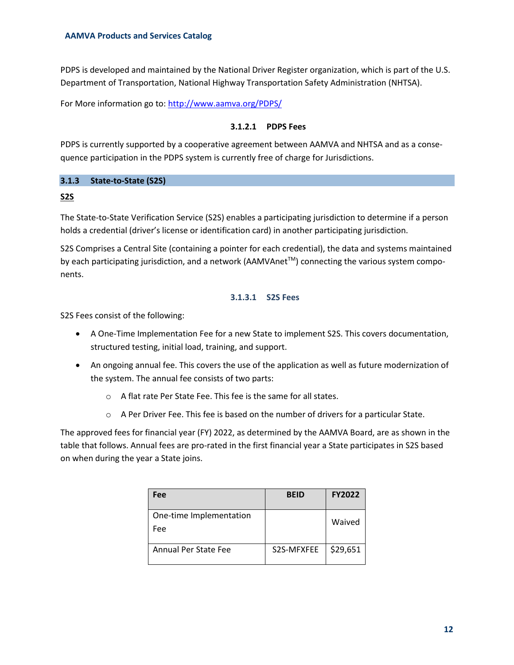PDPS is developed and maintained by the National Driver Register organization, which is part of the U.S. Department of Transportation, National Highway Transportation Safety Administration (NHTSA).

For More information go to:<http://www.aamva.org/PDPS/>

# **3.1.2.1 PDPS Fees**

PDPS is currently supported by a cooperative agreement between AAMVA and NHTSA and as a consequence participation in the PDPS system is currently free of charge for Jurisdictions.

# <span id="page-11-0"></span>**3.1.3 State-to-State (S2S)**

## **S2S**

The State-to-State Verification Service (S2S) enables a participating jurisdiction to determine if a person holds a credential (driver's license or identification card) in another participating jurisdiction.

S2S Comprises a Central Site (containing a pointer for each credential), the data and systems maintained by each participating jurisdiction, and a network (AAMVAnet™) connecting the various system components.

# **3.1.3.1 S2S Fees**

S2S Fees consist of the following:

- A One-Time Implementation Fee for a new State to implement S2S. This covers documentation, structured testing, initial load, training, and support.
- An ongoing annual fee. This covers the use of the application as well as future modernization of the system. The annual fee consists of two parts:
	- o A flat rate Per State Fee. This fee is the same for all states.
	- $\circ$  A Per Driver Fee. This fee is based on the number of drivers for a particular State.

The approved fees for financial year (FY) 2022, as determined by the AAMVA Board, are as shown in the table that follows. Annual fees are pro-rated in the first financial year a State participates in S2S based on when during the year a State joins.

| Fee                            | <b>BEID</b> | <b>FY2022</b> |
|--------------------------------|-------------|---------------|
| One-time Implementation<br>Fee |             | Waived        |
| Annual Per State Fee           | S2S-MFXFEE  | \$29,651      |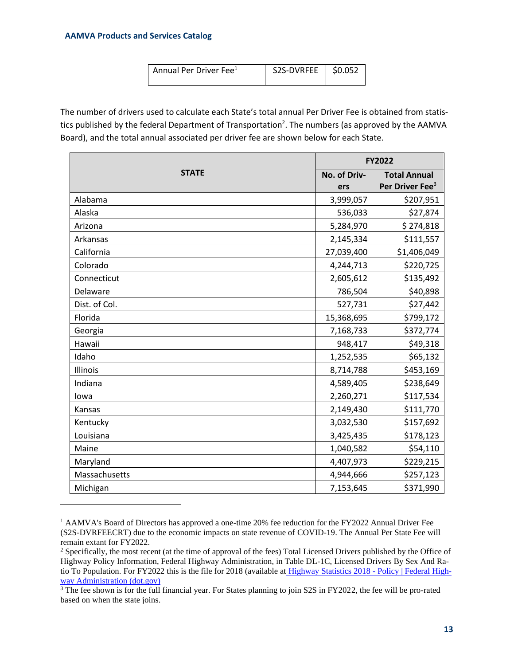| Annual Per Driver Fee <sup>1</sup> | S2S-DVRFEE 30.052 |  |
|------------------------------------|-------------------|--|
|                                    |                   |  |
|                                    |                   |  |

The number of drivers used to calculate each State's total annual Per Driver Fee is obtained from statistics published by the federal Department of Transportation<sup>2</sup>. The numbers (as approved by the AAMVA Board), and the total annual associated per driver fee are shown below for each State.

|               | <b>FY2022</b> |                             |  |
|---------------|---------------|-----------------------------|--|
| <b>STATE</b>  | No. of Driv-  | <b>Total Annual</b>         |  |
|               | ers           | Per Driver Fee <sup>3</sup> |  |
| Alabama       | 3,999,057     | \$207,951                   |  |
| Alaska        | 536,033       | \$27,874                    |  |
| Arizona       | 5,284,970     | \$274,818                   |  |
| Arkansas      | 2,145,334     | \$111,557                   |  |
| California    | 27,039,400    | \$1,406,049                 |  |
| Colorado      | 4,244,713     | \$220,725                   |  |
| Connecticut   | 2,605,612     | \$135,492                   |  |
| Delaware      | 786,504       | \$40,898                    |  |
| Dist. of Col. | 527,731       | \$27,442                    |  |
| Florida       | 15,368,695    | \$799,172                   |  |
| Georgia       | 7,168,733     | \$372,774                   |  |
| Hawaii        | 948,417       | \$49,318                    |  |
| Idaho         | 1,252,535     | \$65,132                    |  |
| Illinois      | 8,714,788     | \$453,169                   |  |
| Indiana       | 4,589,405     | \$238,649                   |  |
| lowa          | 2,260,271     | \$117,534                   |  |
| Kansas        | 2,149,430     | \$111,770                   |  |
| Kentucky      | 3,032,530     | \$157,692                   |  |
| Louisiana     | 3,425,435     | \$178,123                   |  |
| Maine         | 1,040,582     | \$54,110                    |  |
| Maryland      | 4,407,973     | \$229,215                   |  |
| Massachusetts | 4,944,666     | \$257,123                   |  |
| Michigan      | 7,153,645     | \$371,990                   |  |

<sup>&</sup>lt;sup>1</sup> AAMVA's Board of Directors has approved a one-time 20% fee reduction for the FY2022 Annual Driver Fee (S2S-DVRFEECRT) due to the economic impacts on state revenue of COVID-19. The Annual Per State Fee will remain extant for FY2022.

<sup>&</sup>lt;sup>2</sup> Specifically, the most recent (at the time of approval of the fees) Total Licensed Drivers published by the Office of Highway Policy Information, Federal Highway Administration, in Table DL-1C, Licensed Drivers By Sex And Ratio To Population. For FY2022 this is the file for 2018 (available at [Highway Statistics 2018 -](https://www.fhwa.dot.gov/policyinformation/statistics/2018/) Policy | Federal High[way Administration \(dot.gov\)](https://www.fhwa.dot.gov/policyinformation/statistics/2018/)

<sup>&</sup>lt;sup>3</sup> The fee shown is for the full financial year. For States planning to join S2S in FY2022, the fee will be pro-rated based on when the state joins.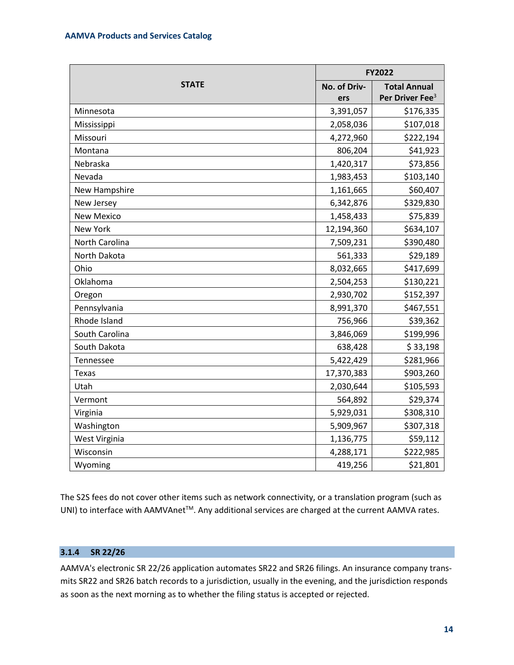|                   | FY2022       |                             |  |
|-------------------|--------------|-----------------------------|--|
| <b>STATE</b>      | No. of Driv- | <b>Total Annual</b>         |  |
|                   | ers          | Per Driver Fee <sup>3</sup> |  |
| Minnesota         | 3,391,057    | \$176,335                   |  |
| Mississippi       | 2,058,036    | \$107,018                   |  |
| Missouri          | 4,272,960    | \$222,194                   |  |
| Montana           | 806,204      | \$41,923                    |  |
| Nebraska          | 1,420,317    | \$73,856                    |  |
| Nevada            | 1,983,453    | \$103,140                   |  |
| New Hampshire     | 1,161,665    | \$60,407                    |  |
| New Jersey        | 6,342,876    | \$329,830                   |  |
| <b>New Mexico</b> | 1,458,433    | \$75,839                    |  |
| New York          | 12,194,360   | \$634,107                   |  |
| North Carolina    | 7,509,231    | \$390,480                   |  |
| North Dakota      | 561,333      | \$29,189                    |  |
| Ohio              | 8,032,665    | \$417,699                   |  |
| Oklahoma          | 2,504,253    | \$130,221                   |  |
| Oregon            | 2,930,702    | \$152,397                   |  |
| Pennsylvania      | 8,991,370    | \$467,551                   |  |
| Rhode Island      | 756,966      | \$39,362                    |  |
| South Carolina    | 3,846,069    | \$199,996                   |  |
| South Dakota      | 638,428      | \$33,198                    |  |
| Tennessee         | 5,422,429    | \$281,966                   |  |
| Texas             | 17,370,383   | \$903,260                   |  |
| Utah              | 2,030,644    | \$105,593                   |  |
| Vermont           | 564,892      | \$29,374                    |  |
| Virginia          | 5,929,031    | \$308,310                   |  |
| Washington        | 5,909,967    | \$307,318                   |  |
| West Virginia     | 1,136,775    | \$59,112                    |  |
| Wisconsin         | 4,288,171    | \$222,985                   |  |
| Wyoming           | 419,256      | \$21,801                    |  |

The S2S fees do not cover other items such as network connectivity, or a translation program (such as UNI) to interface with AAMVAnet<sup>™</sup>. Any additional services are charged at the current AAMVA rates.

## <span id="page-13-0"></span>**3.1.4 SR 22/26**

AAMVA's electronic SR 22/26 application automates SR22 and SR26 filings. An insurance company transmits SR22 and SR26 batch records to a jurisdiction, usually in the evening, and the jurisdiction responds as soon as the next morning as to whether the filing status is accepted or rejected.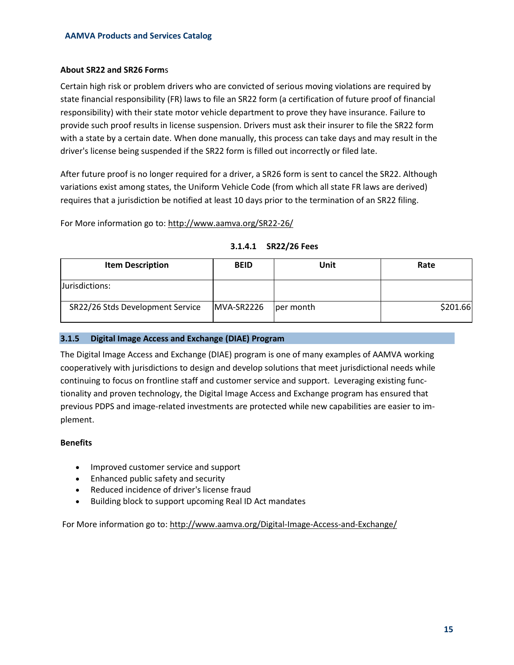# **About SR22 and SR26 Form**s

Certain high risk or problem drivers who are convicted of serious moving violations are required by state financial responsibility (FR) laws to file an SR22 form (a certification of future proof of financial responsibility) with their state motor vehicle department to prove they have insurance. Failure to provide such proof results in license suspension. Drivers must ask their insurer to file the SR22 form with a state by a certain date. When done manually, this process can take days and may result in the driver's license being suspended if the SR22 form is filled out incorrectly or filed late.

After future proof is no longer required for a driver, a SR26 form is sent to cancel the SR22. Although variations exist among states, the Uniform Vehicle Code (from which all state FR laws are derived) requires that a jurisdiction be notified at least 10 days prior to the termination of an SR22 filing.

For More information go to:<http://www.aamva.org/SR22-26/>

| <b>Item Description</b>          | <b>BEID</b> | Unit      | Rate     |
|----------------------------------|-------------|-----------|----------|
| Jurisdictions:                   |             |           |          |
| SR22/26 Stds Development Service | MVA-SR2226  | per month | \$201.66 |

#### **3.1.4.1 SR22/26 Fees**

## <span id="page-14-0"></span>**3.1.5 Digital Image Access and Exchange (DIAE) Program**

The Digital Image Access and Exchange (DIAE) program is one of many examples of AAMVA working cooperatively with jurisdictions to design and develop solutions that meet jurisdictional needs while continuing to focus on frontline staff and customer service and support. Leveraging existing functionality and proven technology, the Digital Image Access and Exchange program has ensured that previous PDPS and image-related investments are protected while new capabilities are easier to implement.

## **Benefits**

- Improved customer service and support
- Enhanced public safety and security
- Reduced incidence of driver's license fraud
- Building block to support upcoming Real ID Act mandates

For More information go to:<http://www.aamva.org/Digital-Image-Access-and-Exchange/>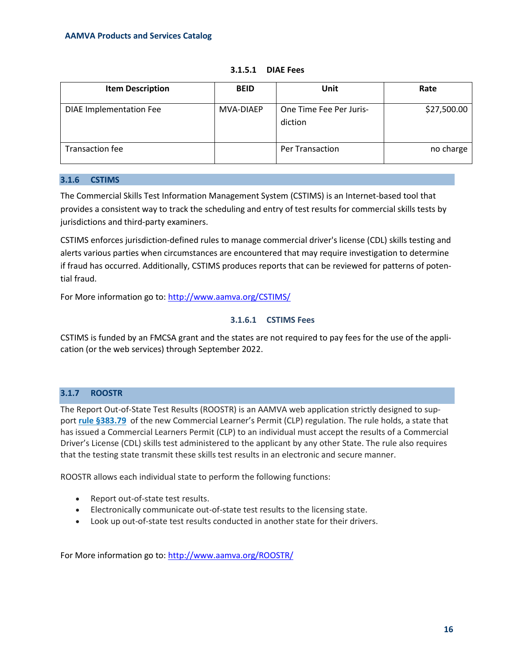| <b>Item Description</b>        | <b>BEID</b> | Unit                               | Rate        |
|--------------------------------|-------------|------------------------------------|-------------|
| <b>DIAE Implementation Fee</b> | MVA-DIAEP   | One Time Fee Per Juris-<br>diction | \$27,500.00 |
| <b>Transaction fee</b>         |             | <b>Per Transaction</b>             | no charge   |

**3.1.5.1 DIAE Fees**

## <span id="page-15-0"></span>**3.1.6 CSTIMS**

The Commercial Skills Test Information Management System (CSTIMS) is an Internet-based tool that provides a consistent way to track the scheduling and entry of test results for commercial skills tests by jurisdictions and third-party examiners.

CSTIMS enforces jurisdiction-defined rules to manage commercial driver's license (CDL) skills testing and alerts various parties when circumstances are encountered that may require investigation to determine if fraud has occurred. Additionally, CSTIMS produces reports that can be reviewed for patterns of potential fraud.

For More information go to:<http://www.aamva.org/CSTIMS/>

# **3.1.6.1 CSTIMS Fees**

CSTIMS is funded by an FMCSA grant and the states are not required to pay fees for the use of the application (or the web services) through September 2022.

# <span id="page-15-1"></span>**3.1.7 ROOSTR**

The Report Out-of-State Test Results (ROOSTR) is an AAMVA web application strictly designed to support **[rule §383.79](http://www.ecfr.gov/cgi-bin/text-idx?SID=3170ad7b5ac3e6a71ae9d24486b4cf0c&mc=true&node=se49.5.383_179&rgn=div8)** of the new Commercial Learner's Permit (CLP) regulation. The rule holds, a state that has issued a Commercial Learners Permit (CLP) to an individual must accept the results of a Commercial Driver's License (CDL) skills test administered to the applicant by any other State. The rule also requires that the testing state transmit these skills test results in an electronic and secure manner.

ROOSTR allows each individual state to perform the following functions:

- Report out-of-state test results.
- Electronically communicate out-of-state test results to the licensing state.
- Look up out-of-state test results conducted in another state for their drivers.

For More information go to:<http://www.aamva.org/ROOSTR/>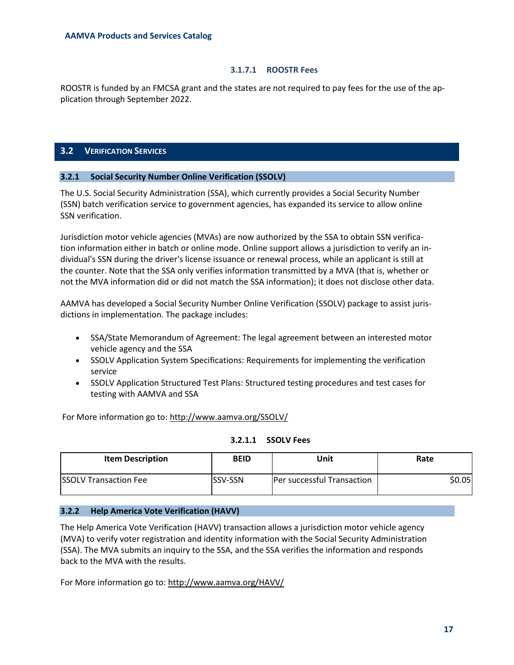#### **3.1.7.1 ROOSTR Fees**

ROOSTR is funded by an FMCSA grant and the states are not required to pay fees for the use of the application through September 2022.

#### <span id="page-16-0"></span>**3.2 VERIFICATION SERVICES**

#### <span id="page-16-1"></span>**3.2.1 Social Security Number Online Verification (SSOLV)**

The U.S. Social Security Administration (SSA), which currently provides a Social Security Number (SSN) batch verification service to government agencies, has expanded its service to allow online SSN verification.

Jurisdiction motor vehicle agencies (MVAs) are now authorized by the SSA to obtain SSN verification information either in batch or online mode. Online support allows a jurisdiction to verify an individual's SSN during the driver's license issuance or renewal process, while an applicant is still at the counter. Note that the SSA only verifies information transmitted by a MVA (that is, whether or not the MVA information did or did not match the SSA information); it does not disclose other data.

AAMVA has developed a Social Security Number Online Verification (SSOLV) package to assist jurisdictions in implementation. The package includes:

- SSA/State Memorandum of Agreement: The legal agreement between an interested motor vehicle agency and the SSA
- SSOLV Application System Specifications: Requirements for implementing the verification service
- SSOLV Application Structured Test Plans: Structured testing procedures and test cases for testing with AAMVA and SSA

For More information go to:<http://www.aamva.org/SSOLV/>

| 3.2.1.1 | <b>SSOLV Fees</b> |
|---------|-------------------|
|---------|-------------------|

| <b>Item Description</b>       | <b>BEID</b>     | Unit                       | Rate   |
|-------------------------------|-----------------|----------------------------|--------|
| <b>ISSOLV Transaction Fee</b> | <b>ISSV-SSN</b> | Per successful Transaction | \$0.05 |

## <span id="page-16-2"></span>**3.2.2 Help America Vote Verification (HAVV)**

The Help America Vote Verification (HAVV) transaction allows a jurisdiction motor vehicle agency (MVA) to verify voter registration and identity information with the Social Security Administration (SSA). The MVA submits an inquiry to the SSA, and the SSA verifies the information and responds back to the MVA with the results.

For More information go to:<http://www.aamva.org/HAVV/>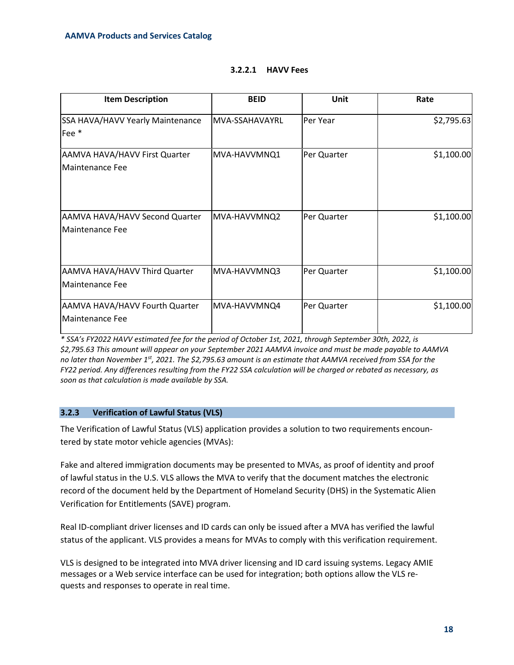| <b>Item Description</b>                           | <b>BEID</b>     | Unit        | Rate       |
|---------------------------------------------------|-----------------|-------------|------------|
| SSA HAVA/HAVV Yearly Maintenance<br>Fee *         | lMVA-SSAHAVAYRL | Per Year    | \$2,795.63 |
| AAMVA HAVA/HAVV First Quarter<br>Maintenance Fee  | MVA-HAVVMNQ1    | Per Quarter | \$1,100.00 |
| AAMVA HAVA/HAVV Second Quarter<br>Maintenance Fee | MVA-HAVVMNQ2    | Per Quarter | \$1,100.00 |
| AAMVA HAVA/HAVV Third Quarter<br>Maintenance Fee  | MVA-HAVVMNQ3    | Per Quarter | \$1,100.00 |
| AAMVA HAVA/HAVV Fourth Quarter<br>Maintenance Fee | MVA-HAVVMNQ4    | Per Quarter | \$1,100.00 |

## **3.2.2.1 HAVV Fees**

*\* SSA's FY2022 HAVV estimated fee for the period of October 1st, 2021, through September 30th, 2022, is \$2,795.63 This amount will appear on your September 2021 AAMVA invoice and must be made payable to AAMVA no later than November 1st , 2021. The \$2,795.63 amount is an estimate that AAMVA received from SSA for the FY22 period. Any differences resulting from the FY22 SSA calculation will be charged or rebated as necessary, as soon as that calculation is made available by SSA.*

## <span id="page-17-0"></span>**3.2.3 Verification of Lawful Status (VLS)**

The Verification of Lawful Status (VLS) application provides a solution to two requirements encountered by state motor vehicle agencies (MVAs):

Fake and altered immigration documents may be presented to MVAs, as proof of identity and proof of lawful status in the U.S. VLS allows the MVA to verify that the document matches the electronic record of the document held by the Department of Homeland Security (DHS) in the Systematic Alien Verification for Entitlements [\(SAVE\)](http://www.uscis.gov/portal/site/uscis/menuitem.eb1d4c2a3e5b9ac89243c6a7543f6d1a/?vgnextoid=1721c2ec0c7c8110VgnVCM1000004718190aRCRD&vgnextchannel=1721c2ec0c7c8110VgnVCM1000004718190aRCRD) program.

Real ID-compliant driver licenses and ID cards can only be issued after a MVA has verified the lawful status of the applicant. VLS provides a means for MVAs to comply with this verification requirement.

VLS is designed to be integrated into MVA driver licensing and ID card issuing systems. Legacy AMIE messages or a Web service interface can be used for integration; both options allow the VLS requests and responses to operate in real time.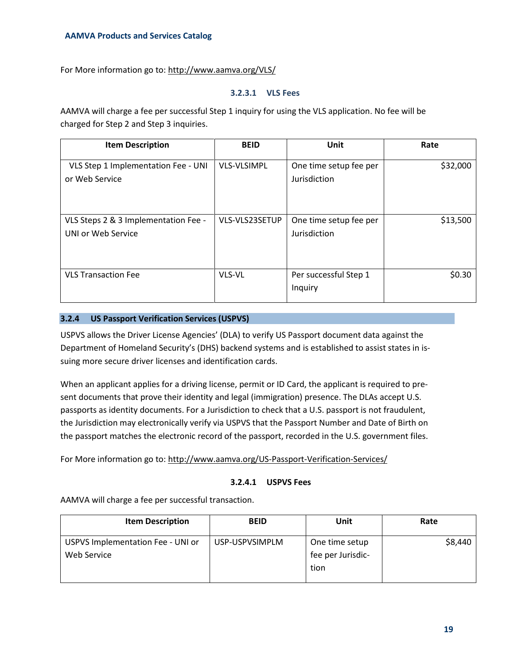For More information go to:<http://www.aamva.org/VLS/>

#### **3.2.3.1 VLS Fees**

AAMVA will charge a fee per successful Step 1 inquiry for using the VLS application. No fee will be charged for Step 2 and Step 3 inquiries.

| <b>Item Description</b>                                    | <b>BEID</b>        | Unit                                   | Rate     |
|------------------------------------------------------------|--------------------|----------------------------------------|----------|
| VLS Step 1 Implementation Fee - UNI<br>or Web Service      | <b>VLS-VLSIMPL</b> | One time setup fee per<br>Jurisdiction | \$32,000 |
| VLS Steps 2 & 3 Implementation Fee -<br>UNI or Web Service | VLS-VLS23SETUP     | One time setup fee per<br>Jurisdiction | \$13,500 |
| <b>VLS Transaction Fee</b>                                 | VLS-VL             | Per successful Step 1<br>Inquiry       | \$0.30   |

## <span id="page-18-0"></span>**3.2.4 US Passport Verification Services (USPVS)**

USPVS allows the Driver License Agencies' (DLA) to verify US Passport document data against the Department of Homeland Security's (DHS) backend systems and is established to assist states in issuing more secure driver licenses and identification cards.

When an applicant applies for a driving license, permit or ID Card, the applicant is required to present documents that prove their identity and legal (immigration) presence. The DLAs accept U.S. passports as identity documents. For a Jurisdiction to check that a U.S. passport is not fraudulent, the Jurisdiction may electronically verify via USPVS that the Passport Number and Date of Birth on the passport matches the electronic record of the passport, recorded in the U.S. government files.

For More information go to:<http://www.aamva.org/US-Passport-Verification-Services/>

## **3.2.4.1 USPVS Fees**

AAMVA will charge a fee per successful transaction.

| <b>Item Description</b>                          | <b>BEID</b>    | Unit                                        | Rate    |
|--------------------------------------------------|----------------|---------------------------------------------|---------|
| USPVS Implementation Fee - UNI or<br>Web Service | USP-USPVSIMPLM | One time setup<br>fee per Jurisdic-<br>tion | \$8,440 |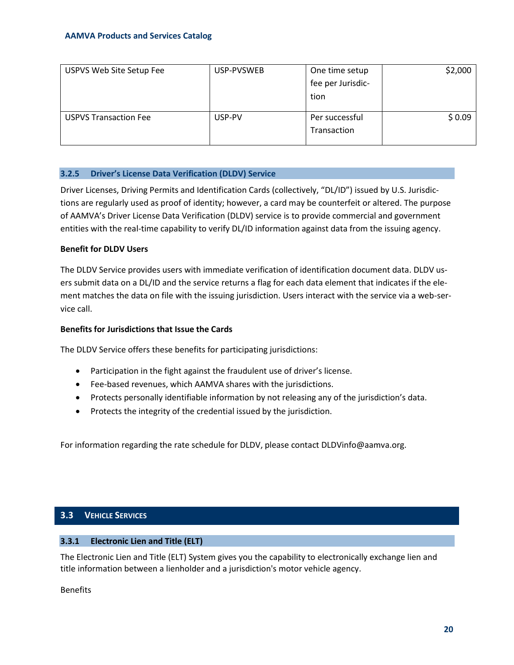| USPVS Web Site Setup Fee     | USP-PVSWEB | One time setup    | \$2,000 |
|------------------------------|------------|-------------------|---------|
|                              |            | fee per Jurisdic- |         |
|                              |            | tion              |         |
|                              |            |                   |         |
| <b>USPVS Transaction Fee</b> | USP-PV     | Per successful    | \$0.09  |
|                              |            | Transaction       |         |
|                              |            |                   |         |

#### <span id="page-19-0"></span>**3.2.5 Driver's License Data Verification (DLDV) Service**

Driver Licenses, Driving Permits and Identification Cards (collectively, "DL/ID") issued by U.S. Jurisdictions are regularly used as proof of identity; however, a card may be counterfeit or altered. The purpose of AAMVA's Driver License Data Verification (DLDV) service is to provide commercial and government entities with the real-time capability to verify DL/ID information against data from the issuing agency.

#### **Benefit for DLDV Users**

The DLDV Service provides users with immediate verification of identification document data. DLDV users submit data on a DL/ID and the service returns a flag for each data element that indicates if the element matches the data on file with the issuing jurisdiction. Users interact with the service via a web-service call.

#### **Benefits for Jurisdictions that Issue the Cards**

The DLDV Service offers these benefits for participating jurisdictions:

- Participation in the fight against the fraudulent use of driver's license.
- Fee-based revenues, which AAMVA shares with the jurisdictions.
- Protects personally identifiable information by not releasing any of the jurisdiction's data.
- Protects the integrity of the credential issued by the jurisdiction.

For information regarding the rate schedule for DLDV, please contact DLDVinfo@aamva.org.

# <span id="page-19-1"></span>**3.3 VEHICLE SERVICES**

## <span id="page-19-2"></span>**3.3.1 Electronic Lien and Title (ELT)**

The Electronic Lien and Title (ELT) System gives you the capability to electronically exchange lien and title information between a lienholder and a jurisdiction's motor vehicle agency.

Benefits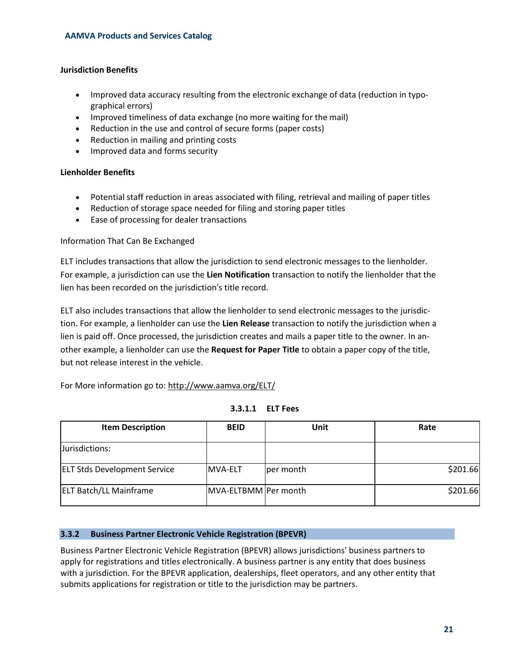# **Jurisdiction Benefits**

- Improved data accuracy resulting from the electronic exchange of data (reduction in typographical errors)
- Improved timeliness of data exchange (no more waiting for the mail)
- Reduction in the use and control of secure forms (paper costs)
- Reduction in mailing and printing costs
- Improved data and forms security

## **Lienholder Benefits**

- Potential staff reduction in areas associated with filing, retrieval and mailing of paper titles
- Reduction of storage space needed for filing and storing paper titles
- Ease of processing for dealer transactions

# Information That Can Be Exchanged

ELT includes transactions that allow the jurisdiction to send electronic messages to the lienholder. For example, a jurisdiction can use the **Lien Notification** transaction to notify the lienholder that the lien has been recorded on the jurisdiction's title record.

ELT also includes transactions that allow the lienholder to send electronic messages to the jurisdiction. For example, a lienholder can use the **Lien Release** transaction to notify the jurisdiction when a lien is paid off. Once processed, the jurisdiction creates and mails a paper title to the owner. In another example, a lienholder can use the **Request for Paper Title** to obtain a paper copy of the title, but not release interest in the vehicle.

For More information go to:<http://www.aamva.org/ELT/>

| <b>Item Description</b>             | <b>BEID</b>          | Unit      | Rate     |
|-------------------------------------|----------------------|-----------|----------|
| Jurisdictions:                      |                      |           |          |
| <b>ELT Stds Development Service</b> | <b>MVA-ELT</b>       | per month | \$201.66 |
| <b>ELT Batch/LL Mainframe</b>       | MVA-ELTBMM Per month |           | \$201.66 |

#### <span id="page-20-0"></span>**3.3.2 Business Partner Electronic Vehicle Registration (BPEVR)**

Business Partner Electronic Vehicle Registration (BPEVR) allows jurisdictions' business partners to apply for registrations and titles electronically. A business partner is any entity that does business with a jurisdiction. For the BPEVR application, dealerships, fleet operators, and any other entity that submits applications for registration or title to the jurisdiction may be partners.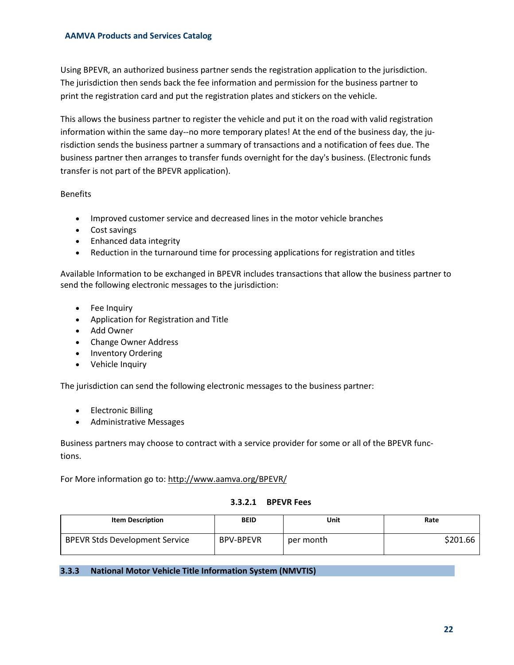Using BPEVR, an authorized business partner sends the registration application to the jurisdiction. The jurisdiction then sends back the fee information and permission for the business partner to print the registration card and put the registration plates and stickers on the vehicle.

This allows the business partner to register the vehicle and put it on the road with valid registration information within the same day--no more temporary plates! At the end of the business day, the jurisdiction sends the business partner a summary of transactions and a notification of fees due. The business partner then arranges to transfer funds overnight for the day's business. (Electronic funds transfer is not part of the BPEVR application).

Benefits

- Improved customer service and decreased lines in the motor vehicle branches
- Cost savings
- Enhanced data integrity
- Reduction in the turnaround time for processing applications for registration and titles

Available Information to be exchanged in BPEVR includes transactions that allow the business partner to send the following electronic messages to the jurisdiction:

- Fee Inquiry
- Application for Registration and Title
- Add Owner
- Change Owner Address
- Inventory Ordering
- Vehicle Inquiry

The jurisdiction can send the following electronic messages to the business partner:

- Electronic Billing
- Administrative Messages

Business partners may choose to contract with a service provider for some or all of the BPEVR functions.

For More information go to:<http://www.aamva.org/BPEVR/>

## **3.3.2.1 BPEVR Fees**

| <b>Item Description</b>               | <b>BEID</b>      | Unit      | Rate     |
|---------------------------------------|------------------|-----------|----------|
| <b>BPEVR Stds Development Service</b> | <b>BPV-BPEVR</b> | per month | \$201.66 |

<span id="page-21-0"></span>**3.3.3 National Motor Vehicle Title Information System (NMVTIS)**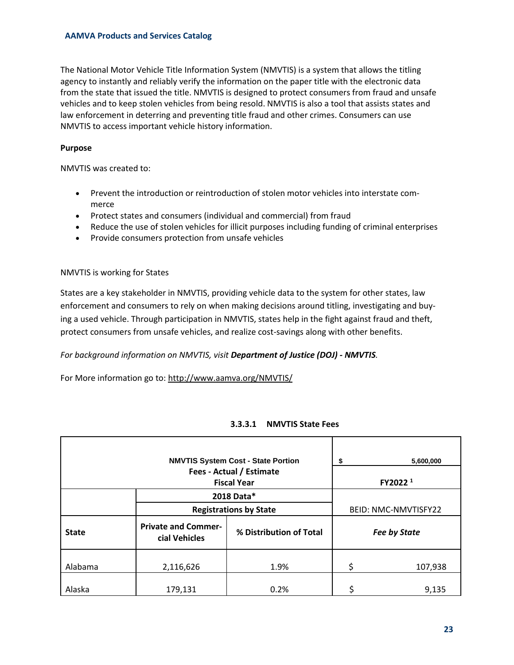The National Motor Vehicle Title Information System (NMVTIS) is a system that allows the titling agency to instantly and reliably verify the information on the paper title with the electronic data from the state that issued the title. NMVTIS is designed to protect consumers from fraud and unsafe vehicles and to keep stolen vehicles from being resold. NMVTIS is also a tool that assists states and law enforcement in deterring and preventing title fraud and other crimes. Consumers can use NMVTIS to access important vehicle history information.

## **Purpose**

NMVTIS was created to:

- Prevent the introduction or reintroduction of stolen motor vehicles into interstate commerce
- Protect states and consumers (individual and commercial) from fraud
- Reduce the use of stolen vehicles for illicit purposes including funding of criminal enterprises
- Provide consumers protection from unsafe vehicles

#### NMVTIS is working for States

States are a key stakeholder in NMVTIS, providing vehicle data to the system for other states, law enforcement and consumers to rely on when making decisions around titling, investigating and buying a used vehicle. Through participation in NMVTIS, states help in the fight against fraud and theft, protect consumers from unsafe vehicles, and realize cost-savings along with other benefits.

## *For background information on NMVTIS, visit [Department of Justice \(DOJ\) -](http://www.vehiclehistory.gov/) NMVTIS.*

For More information go to:<http://www.aamva.org/NMVTIS/>

## **3.3.3.1 NMVTIS State Fees**

| <b>NMVTIS System Cost - State Portion</b>      |                                             |                         | \$<br>5,600,000      |
|------------------------------------------------|---------------------------------------------|-------------------------|----------------------|
| Fees - Actual / Estimate<br><b>Fiscal Year</b> |                                             |                         | FY2022 <sup>1</sup>  |
|                                                | 2018 Data*<br><b>Registrations by State</b> |                         | BEID: NMC-NMVTISFY22 |
| <b>State</b>                                   | <b>Private and Commer-</b><br>cial Vehicles | % Distribution of Total | <b>Fee by State</b>  |
| Alabama                                        | 2,116,626                                   | 1.9%                    | \$<br>107,938        |
| Alaska                                         | 179,131                                     | 0.2%                    | 9,135                |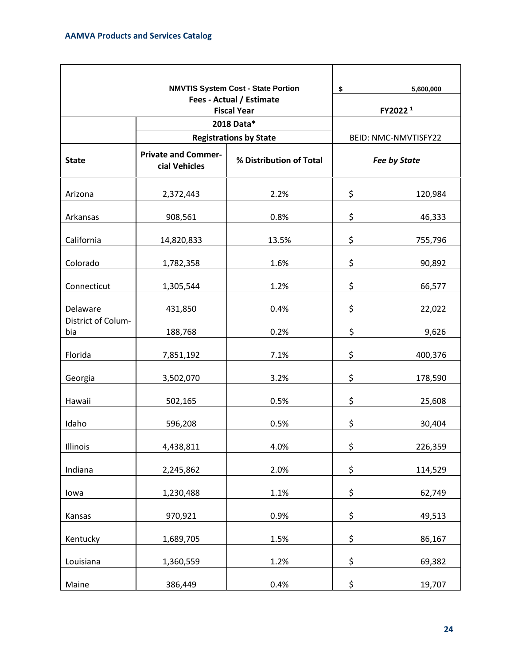|                           |                                                | <b>NMVTIS System Cost - State Portion</b> | \$ | 5,600,000            |  |
|---------------------------|------------------------------------------------|-------------------------------------------|----|----------------------|--|
|                           | Fees - Actual / Estimate<br><b>Fiscal Year</b> |                                           |    | FY2022 <sup>1</sup>  |  |
|                           |                                                | 2018 Data*                                |    |                      |  |
|                           |                                                | <b>Registrations by State</b>             |    | BEID: NMC-NMVTISFY22 |  |
| <b>State</b>              | <b>Private and Commer-</b><br>cial Vehicles    | % Distribution of Total                   |    | <b>Fee by State</b>  |  |
| Arizona                   | 2,372,443                                      | 2.2%                                      | \$ | 120,984              |  |
| Arkansas                  | 908,561                                        | 0.8%                                      | \$ | 46,333               |  |
| California                | 14,820,833                                     | 13.5%                                     | \$ | 755,796              |  |
| Colorado                  | 1,782,358                                      | 1.6%                                      | \$ | 90,892               |  |
| Connecticut               | 1,305,544                                      | 1.2%                                      | \$ | 66,577               |  |
| Delaware                  | 431,850                                        | 0.4%                                      | \$ | 22,022               |  |
| District of Colum-<br>bia | 188,768                                        | 0.2%                                      | \$ | 9,626                |  |
| Florida                   | 7,851,192                                      | 7.1%                                      | \$ | 400,376              |  |
| Georgia                   | 3,502,070                                      | 3.2%                                      | \$ | 178,590              |  |
| Hawaii                    | 502,165                                        | 0.5%                                      | \$ | 25,608               |  |
| Idaho                     | 596,208                                        | 0.5%                                      | \$ | 30,404               |  |
| Illinois                  | 4,438,811                                      | 4.0%                                      | \$ | 226,359              |  |
| Indiana                   | 2,245,862                                      | 2.0%                                      | \$ | 114,529              |  |
| lowa                      | 1,230,488                                      | 1.1%                                      | \$ | 62,749               |  |
| Kansas                    | 970,921                                        | 0.9%                                      | \$ | 49,513               |  |
| Kentucky                  | 1,689,705                                      | 1.5%                                      | \$ | 86,167               |  |
| Louisiana                 | 1,360,559                                      | 1.2%                                      | \$ | 69,382               |  |
| Maine                     | 386,449                                        | 0.4%                                      | \$ | 19,707               |  |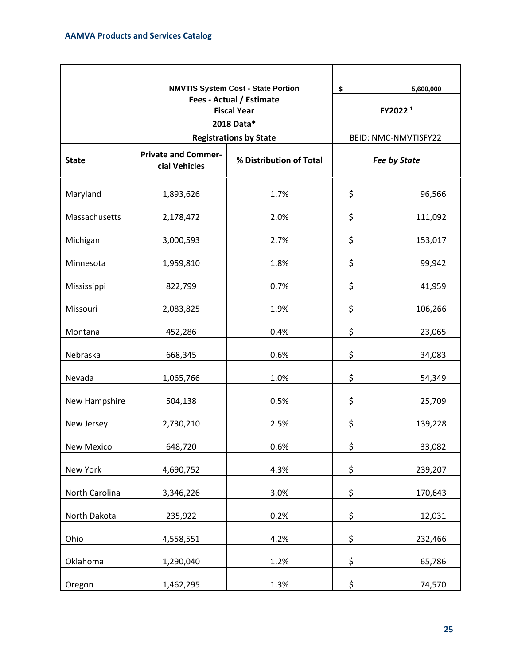|                          |                                             | <b>NMVTIS System Cost - State Portion</b>   | \$<br>5,600,000      |
|--------------------------|---------------------------------------------|---------------------------------------------|----------------------|
| Fees - Actual / Estimate |                                             |                                             |                      |
| <b>Fiscal Year</b>       |                                             |                                             | FY2022 <sup>1</sup>  |
|                          |                                             | 2018 Data*<br><b>Registrations by State</b> | BEID: NMC-NMVTISFY22 |
|                          |                                             |                                             |                      |
| <b>State</b>             | <b>Private and Commer-</b><br>cial Vehicles | % Distribution of Total                     | <b>Fee by State</b>  |
| Maryland                 | 1,893,626                                   | 1.7%                                        | \$<br>96,566         |
| Massachusetts            | 2,178,472                                   | 2.0%                                        | \$<br>111,092        |
| Michigan                 | 3,000,593                                   | 2.7%                                        | \$<br>153,017        |
| Minnesota                | 1,959,810                                   | 1.8%                                        | \$<br>99,942         |
| Mississippi              | 822,799                                     | 0.7%                                        | \$<br>41,959         |
| Missouri                 | 2,083,825                                   | 1.9%                                        | \$<br>106,266        |
| Montana                  | 452,286                                     | 0.4%                                        | \$<br>23,065         |
| Nebraska                 | 668,345                                     | 0.6%                                        | \$<br>34,083         |
| Nevada                   | 1,065,766                                   | 1.0%                                        | \$<br>54,349         |
| New Hampshire            | 504,138                                     | 0.5%                                        | \$<br>25,709         |
| New Jersey               | 2,730,210                                   | 2.5%                                        | \$<br>139,228        |
| New Mexico               | 648,720                                     | 0.6%                                        | \$<br>33,082         |
| New York                 | 4,690,752                                   | 4.3%                                        | \$<br>239,207        |
| North Carolina           | 3,346,226                                   | 3.0%                                        | \$<br>170,643        |
| North Dakota             | 235,922                                     | 0.2%                                        | \$<br>12,031         |
| Ohio                     | 4,558,551                                   | 4.2%                                        | \$<br>232,466        |
| Oklahoma                 | 1,290,040                                   | 1.2%                                        | \$<br>65,786         |
| Oregon                   | 1,462,295                                   | 1.3%                                        | \$<br>74,570         |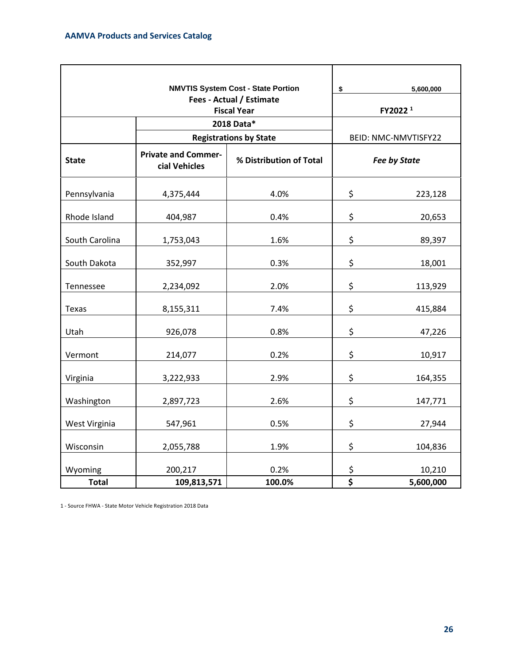|                                                |                                             | <b>NMVTIS System Cost - State Portion</b> | \$                              | 5,600,000            |
|------------------------------------------------|---------------------------------------------|-------------------------------------------|---------------------------------|----------------------|
| Fees - Actual / Estimate<br><b>Fiscal Year</b> |                                             |                                           |                                 | FY2022 <sup>1</sup>  |
|                                                |                                             | 2018 Data*                                |                                 |                      |
|                                                |                                             | <b>Registrations by State</b>             |                                 | BEID: NMC-NMVTISFY22 |
| <b>State</b>                                   | <b>Private and Commer-</b><br>cial Vehicles | % Distribution of Total                   |                                 | <b>Fee by State</b>  |
| Pennsylvania                                   | 4,375,444                                   | 4.0%                                      | \$                              | 223,128              |
| Rhode Island                                   | 404,987                                     | 0.4%                                      | \$                              | 20,653               |
| South Carolina                                 | 1,753,043                                   | 1.6%                                      | \$                              | 89,397               |
| South Dakota                                   | 352,997                                     | 0.3%                                      | \$                              | 18,001               |
| Tennessee                                      | 2,234,092                                   | 2.0%                                      | \$                              | 113,929              |
| Texas                                          | 8,155,311                                   | 7.4%                                      | \$                              | 415,884              |
| Utah                                           | 926,078                                     | 0.8%                                      | \$                              | 47,226               |
| Vermont                                        | 214,077                                     | 0.2%                                      | \$                              | 10,917               |
| Virginia                                       | 3,222,933                                   | 2.9%                                      | \$                              | 164,355              |
| Washington                                     | 2,897,723                                   | 2.6%                                      | \$                              | 147,771              |
| West Virginia                                  | 547,961                                     | 0.5%                                      | \$                              | 27,944               |
| Wisconsin                                      | 2,055,788                                   | 1.9%                                      | \$                              | 104,836              |
| Wyoming                                        | 200,217                                     | 0.2%                                      | \$                              | 10,210               |
| <b>Total</b>                                   | 109,813,571                                 | 100.0%                                    | $\overline{\boldsymbol{\zeta}}$ | 5,600,000            |

1 - Source FHWA - State Motor Vehicle Registration 2018 Data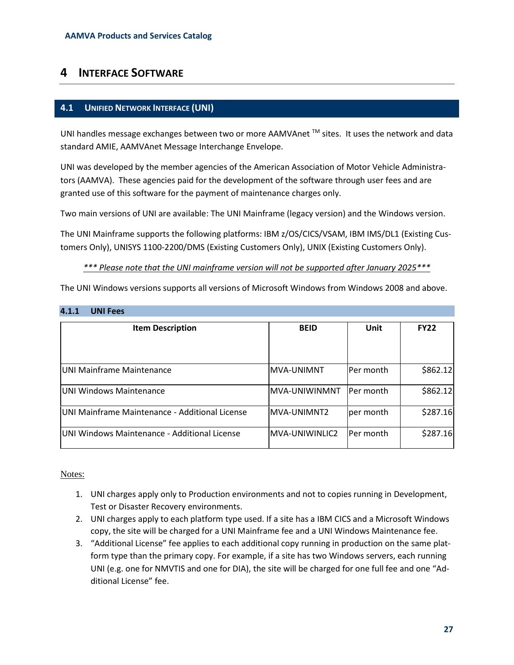# <span id="page-26-0"></span>**4 INTERFACE SOFTWARE**

## <span id="page-26-1"></span>**4.1 UNIFIED NETWORK INTERFACE (UNI)**

UNI handles message exchanges between two or more AAMVAnet<sup>™</sup> sites. It uses the network and data standard AMIE, AAMVAnet Message Interchange Envelope.

UNI was developed by the member agencies of the American Association of Motor Vehicle Administrators (AAMVA). These agencies paid for the development of the software through user fees and are granted use of this software for the payment of maintenance charges only.

Two main versions of UNI are available: The UNI Mainframe (legacy version) and the Windows version.

The UNI Mainframe supports the following platforms: IBM z/OS/CICS/VSAM, IBM IMS/DL1 (Existing Customers Only), UNISYS 1100-2200/DMS (Existing Customers Only), UNIX (Existing Customers Only).

*\*\*\* Please note that the UNI mainframe version will not be supported after January 2025\*\*\**

The UNI Windows versions supports all versions of Microsoft Windows from Windows 2008 and above.

#### <span id="page-26-2"></span>**4.1.1 UNI Fees**

| <b>Item Description</b>                        | <b>BEID</b>    | <b>Unit</b>      | <b>FY22</b> |
|------------------------------------------------|----------------|------------------|-------------|
| UNI Mainframe Maintenance                      | MVA-UNIMNT     | lPer month       | \$862.12]   |
| IUNI Windows Maintenance                       | MVA-UNIWINMNT  | IPer month       | \$862.12]   |
| UNI Mainframe Maintenance - Additional License | MVA-UNIMNT2    | per month        | \$287.16    |
| UNI Windows Maintenance - Additional License   | MVA-UNIWINLIC2 | <b>Per month</b> | \$287.16    |

## Notes:

- 1. UNI charges apply only to Production environments and not to copies running in Development, Test or Disaster Recovery environments.
- 2. UNI charges apply to each platform type used. If a site has a IBM CICS and a Microsoft Windows copy, the site will be charged for a UNI Mainframe fee and a UNI Windows Maintenance fee.
- 3. "Additional License" fee applies to each additional copy running in production on the same platform type than the primary copy. For example, if a site has two Windows servers, each running UNI (e.g. one for NMVTIS and one for DIA), the site will be charged for one full fee and one "Additional License" fee.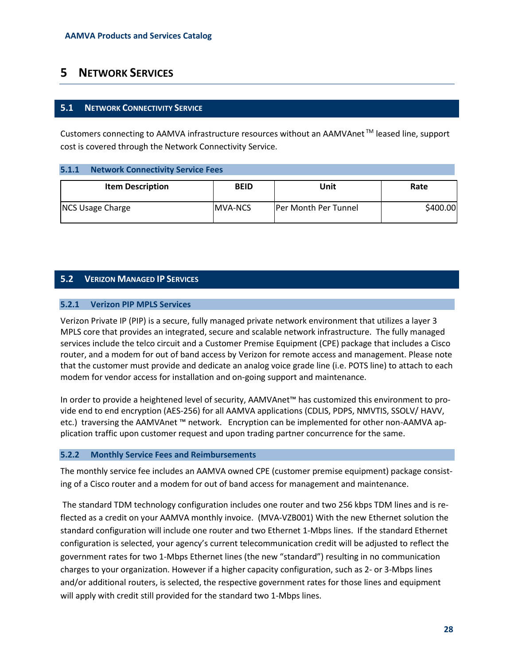# <span id="page-27-0"></span>**5 NETWORK SERVICES**

## <span id="page-27-1"></span>**5.1 NETWORK CONNECTIVITY SERVICE**

Customers connecting to AAMVA infrastructure resources without an AAMVAnet TM leased line, support cost is covered through the Network Connectivity Service.

#### <span id="page-27-2"></span>**5.1.1 Network Connectivity Service Fees**

| <b>Item Description</b> | <b>BEID</b>     | Unit                        | Rate     |
|-------------------------|-----------------|-----------------------------|----------|
| <b>NCS Usage Charge</b> | <b>IMVA-NCS</b> | <b>Per Month Per Tunnel</b> | \$400.00 |

# <span id="page-27-3"></span>**5.2 VERIZON MANAGED IP SERVICES**

#### <span id="page-27-4"></span>**5.2.1 Verizon PIP MPLS Services**

Verizon Private IP (PIP) is a secure, fully managed private network environment that utilizes a layer 3 MPLS core that provides an integrated, secure and scalable network infrastructure. The fully managed services include the telco circuit and a Customer Premise Equipment (CPE) package that includes a Cisco router, and a modem for out of band access by Verizon for remote access and management. Please note that the customer must provide and dedicate an analog voice grade line (i.e. POTS line) to attach to each modem for vendor access for installation and on-going support and maintenance.

In order to provide a heightened level of security, AAMVAnet™ has customized this environment to provide end to end encryption (AES-256) for all AAMVA applications (CDLIS, PDPS, NMVTIS, SSOLV/ HAVV, etc.) traversing the AAMVAnet ™ network. Encryption can be implemented for other non-AAMVA application traffic upon customer request and upon trading partner concurrence for the same.

## <span id="page-27-5"></span>**5.2.2 Monthly Service Fees and Reimbursements**

The monthly service fee includes an AAMVA owned CPE (customer premise equipment) package consisting of a Cisco router and a modem for out of band access for management and maintenance.

The standard TDM technology configuration includes one router and two 256 kbps TDM lines and is reflected as a credit on your AAMVA monthly invoice. (MVA-VZB001) With the new Ethernet solution the standard configuration will include one router and two Ethernet 1-Mbps lines. If the standard Ethernet configuration is selected, your agency's current telecommunication credit will be adjusted to reflect the government rates for two 1-Mbps Ethernet lines (the new "standard") resulting in no communication charges to your organization. However if a higher capacity configuration, such as 2- or 3-Mbps lines and/or additional routers, is selected, the respective government rates for those lines and equipment will apply with credit still provided for the standard two 1-Mbps lines.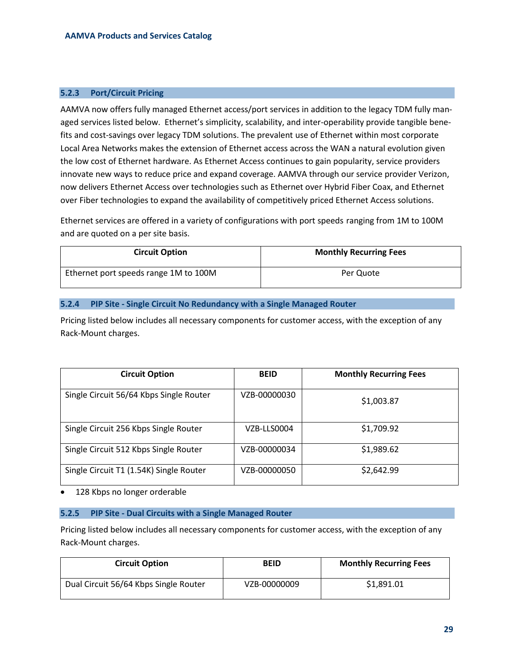#### <span id="page-28-0"></span>**5.2.3 Port/Circuit Pricing**

AAMVA now offers fully managed Ethernet access/port services in addition to the legacy TDM fully managed services listed below. Ethernet's simplicity, scalability, and inter-operability provide tangible benefits and cost-savings over legacy TDM solutions. The prevalent use of Ethernet within most corporate Local Area Networks makes the extension of Ethernet access across the WAN a natural evolution given the low cost of Ethernet hardware. As Ethernet Access continues to gain popularity, service providers innovate new ways to reduce price and expand coverage. AAMVA through our service provider Verizon, now delivers Ethernet Access over technologies such as Ethernet over Hybrid Fiber Coax, and Ethernet over Fiber technologies to expand the availability of competitively priced Ethernet Access solutions.

Ethernet services are offered in a variety of configurations with port speeds ranging from 1M to 100M and are quoted on a per site basis.

| <b>Circuit Option</b>                 | <b>Monthly Recurring Fees</b> |
|---------------------------------------|-------------------------------|
| Ethernet port speeds range 1M to 100M | Per Quote                     |

#### <span id="page-28-1"></span>**5.2.4 PIP Site - Single Circuit No Redundancy with a Single Managed Router**

Pricing listed below includes all necessary components for customer access, with the exception of any Rack-Mount charges.

| <b>Circuit Option</b>                   | <b>BEID</b>  | <b>Monthly Recurring Fees</b> |
|-----------------------------------------|--------------|-------------------------------|
| Single Circuit 56/64 Kbps Single Router | VZB-00000030 | \$1,003.87                    |
| Single Circuit 256 Kbps Single Router   | VZB-LLS0004  | \$1,709.92                    |
| Single Circuit 512 Kbps Single Router   | VZB-00000034 | \$1,989.62                    |
| Single Circuit T1 (1.54K) Single Router | VZB-00000050 | \$2,642.99                    |

<span id="page-28-2"></span>128 Kbps no longer orderable

#### **5.2.5 PIP Site - Dual Circuits with a Single Managed Router**

Pricing listed below includes all necessary components for customer access, with the exception of any Rack-Mount charges.

| <b>Circuit Option</b>                 | <b>BEID</b>  | <b>Monthly Recurring Fees</b> |
|---------------------------------------|--------------|-------------------------------|
| Dual Circuit 56/64 Kbps Single Router | VZB-00000009 | \$1,891.01                    |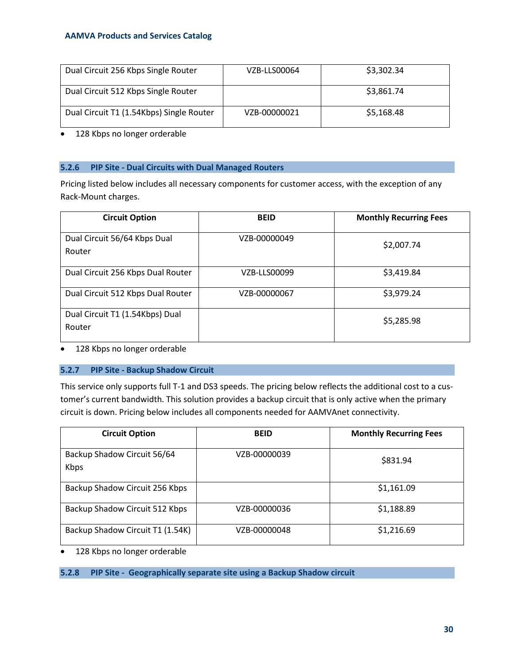| Dual Circuit 256 Kbps Single Router      | VZB-LLS00064 | \$3,302.34 |
|------------------------------------------|--------------|------------|
| Dual Circuit 512 Kbps Single Router      |              | \$3,861.74 |
| Dual Circuit T1 (1.54Kbps) Single Router | VZB-00000021 | \$5,168.48 |

• 128 Kbps no longer orderable

#### <span id="page-29-0"></span>**5.2.6 PIP Site - Dual Circuits with Dual Managed Routers**

Pricing listed below includes all necessary components for customer access, with the exception of any Rack-Mount charges.

| <b>Circuit Option</b>                     | <b>BEID</b>  | <b>Monthly Recurring Fees</b> |
|-------------------------------------------|--------------|-------------------------------|
| Dual Circuit 56/64 Kbps Dual<br>Router    | VZB-00000049 | \$2,007.74                    |
| Dual Circuit 256 Kbps Dual Router         | VZB-LLS00099 | \$3,419.84                    |
| Dual Circuit 512 Kbps Dual Router         | VZB-00000067 | \$3,979.24                    |
| Dual Circuit T1 (1.54Kbps) Dual<br>Router |              | \$5,285.98                    |

<span id="page-29-1"></span>• 128 Kbps no longer orderable

# **5.2.7 PIP Site - Backup Shadow Circuit**

This service only supports full T-1 and DS3 speeds. The pricing below reflects the additional cost to a customer's current bandwidth. This solution provides a backup circuit that is only active when the primary circuit is down. Pricing below includes all components needed for AAMVAnet connectivity.

| <b>Circuit Option</b>               | <b>BEID</b>  | <b>Monthly Recurring Fees</b> |
|-------------------------------------|--------------|-------------------------------|
| Backup Shadow Circuit 56/64<br>Kbps | VZB-00000039 | \$831.94                      |
| Backup Shadow Circuit 256 Kbps      |              | \$1,161.09                    |
| Backup Shadow Circuit 512 Kbps      | VZB-00000036 | \$1,188.89                    |
| Backup Shadow Circuit T1 (1.54K)    | VZB-00000048 | \$1,216.69                    |

• 128 Kbps no longer orderable

<span id="page-29-2"></span>**5.2.8 PIP Site - Geographically separate site using a Backup Shadow circuit**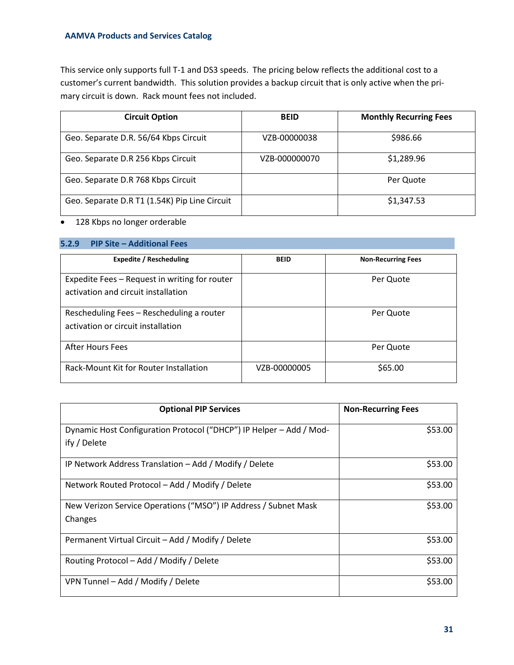This service only supports full T-1 and DS3 speeds. The pricing below reflects the additional cost to a customer's current bandwidth. This solution provides a backup circuit that is only active when the primary circuit is down. Rack mount fees not included.

| <b>Circuit Option</b>                         | <b>BEID</b>   | <b>Monthly Recurring Fees</b> |
|-----------------------------------------------|---------------|-------------------------------|
| Geo. Separate D.R. 56/64 Kbps Circuit         | VZB-00000038  | \$986.66                      |
| Geo. Separate D.R 256 Kbps Circuit            | VZB-000000070 | \$1,289.96                    |
| Geo. Separate D.R 768 Kbps Circuit            |               | Per Quote                     |
| Geo. Separate D.R T1 (1.54K) Pip Line Circuit |               | \$1,347.53                    |

# • 128 Kbps no longer orderable

# <span id="page-30-0"></span>**5.2.9 PIP Site – Additional Fees**

| <b>Expedite / Rescheduling</b>                                                       | <b>BEID</b>  | <b>Non-Recurring Fees</b> |
|--------------------------------------------------------------------------------------|--------------|---------------------------|
| Expedite Fees - Request in writing for router<br>activation and circuit installation |              | Per Quote                 |
| Rescheduling Fees - Rescheduling a router<br>activation or circuit installation      |              | Per Quote                 |
| After Hours Fees                                                                     |              | Per Quote                 |
| Rack-Mount Kit for Router Installation                                               | VZB-00000005 | \$65.00                   |

| <b>Optional PIP Services</b>                                        | <b>Non-Recurring Fees</b> |
|---------------------------------------------------------------------|---------------------------|
| Dynamic Host Configuration Protocol ("DHCP") IP Helper – Add / Mod- | \$53.00                   |
| ify / Delete                                                        |                           |
| IP Network Address Translation – Add / Modify / Delete              | \$53.00                   |
| Network Routed Protocol – Add / Modify / Delete                     | \$53.00                   |
| New Verizon Service Operations ("MSO") IP Address / Subnet Mask     | \$53.00                   |
| Changes                                                             |                           |
| Permanent Virtual Circuit – Add / Modify / Delete                   | \$53.00                   |
| Routing Protocol – Add / Modify / Delete                            | \$53.00                   |
| VPN Tunnel – Add / Modify / Delete                                  | \$53.00                   |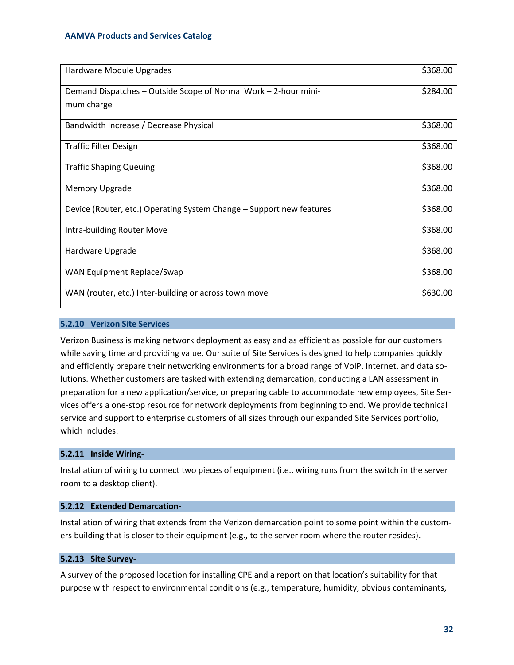| Hardware Module Upgrades                                             | \$368.00 |
|----------------------------------------------------------------------|----------|
| Demand Dispatches - Outside Scope of Normal Work - 2-hour mini-      | \$284.00 |
| mum charge                                                           |          |
| Bandwidth Increase / Decrease Physical                               | \$368.00 |
| <b>Traffic Filter Design</b>                                         | \$368.00 |
| <b>Traffic Shaping Queuing</b>                                       | \$368.00 |
| <b>Memory Upgrade</b>                                                | \$368.00 |
| Device (Router, etc.) Operating System Change - Support new features | \$368.00 |
| Intra-building Router Move                                           | \$368.00 |
| Hardware Upgrade                                                     | \$368.00 |
| WAN Equipment Replace/Swap                                           | \$368.00 |
| WAN (router, etc.) Inter-building or across town move                | \$630.00 |

# <span id="page-31-0"></span>**5.2.10 Verizon Site Services**

Verizon Business is making network deployment as easy and as efficient as possible for our customers while saving time and providing value. Our suite of Site Services is designed to help companies quickly and efficiently prepare their networking environments for a broad range of VoIP, Internet, and data solutions. Whether customers are tasked with extending demarcation, conducting a LAN assessment in preparation for a new application/service, or preparing cable to accommodate new employees, Site Services offers a one-stop resource for network deployments from beginning to end. We provide technical service and support to enterprise customers of all sizes through our expanded Site Services portfolio, which includes:

## <span id="page-31-1"></span>**5.2.11 Inside Wiring-**

Installation of wiring to connect two pieces of equipment (i.e., wiring runs from the switch in the server room to a desktop client).

#### <span id="page-31-2"></span>**5.2.12 Extended Demarcation-**

Installation of wiring that extends from the Verizon demarcation point to some point within the customers building that is closer to their equipment (e.g., to the server room where the router resides).

# <span id="page-31-3"></span>**5.2.13 Site Survey-**

A survey of the proposed location for installing CPE and a report on that location's suitability for that purpose with respect to environmental conditions (e.g., temperature, humidity, obvious contaminants,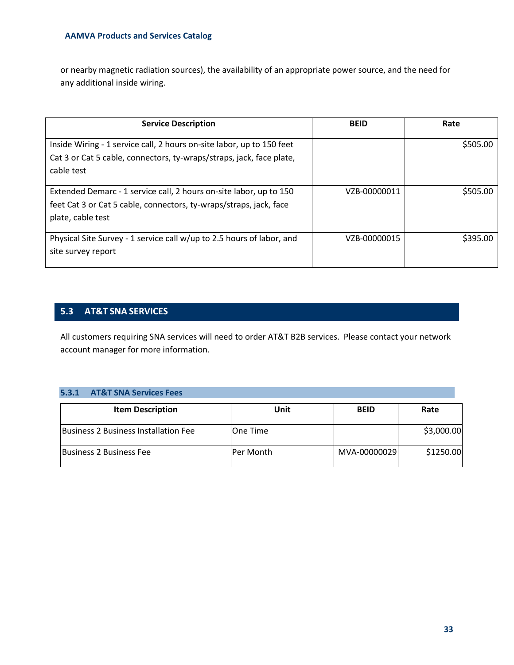or nearby magnetic radiation sources), the availability of an appropriate power source, and the need for any additional inside wiring.

| <b>Service Description</b>                                                                                                                                    | <b>BEID</b>  | Rate     |
|---------------------------------------------------------------------------------------------------------------------------------------------------------------|--------------|----------|
| Inside Wiring - 1 service call, 2 hours on-site labor, up to 150 feet<br>Cat 3 or Cat 5 cable, connectors, ty-wraps/straps, jack, face plate,<br>cable test   |              | \$505.00 |
| Extended Demarc - 1 service call, 2 hours on-site labor, up to 150<br>feet Cat 3 or Cat 5 cable, connectors, ty-wraps/straps, jack, face<br>plate, cable test | VZB-00000011 | \$505.00 |
| Physical Site Survey - 1 service call w/up to 2.5 hours of labor, and<br>site survey report                                                                   | VZB-00000015 | \$395.00 |

# <span id="page-32-0"></span>**5.3 AT&T SNA SERVICES**

All customers requiring SNA services will need to order AT&T B2B services. Please contact your network account manager for more information.

# <span id="page-32-1"></span>**5.3.1 AT&T SNA Services Fees**

| <b>Item Description</b>              | Unit       | <b>BEID</b>  | Rate       |
|--------------------------------------|------------|--------------|------------|
| Business 2 Business Installation Fee | lOne Time  |              | \$3,000.00 |
| <b>Business 2 Business Fee</b>       | lPer Month | MVA-00000029 | \$1250.00  |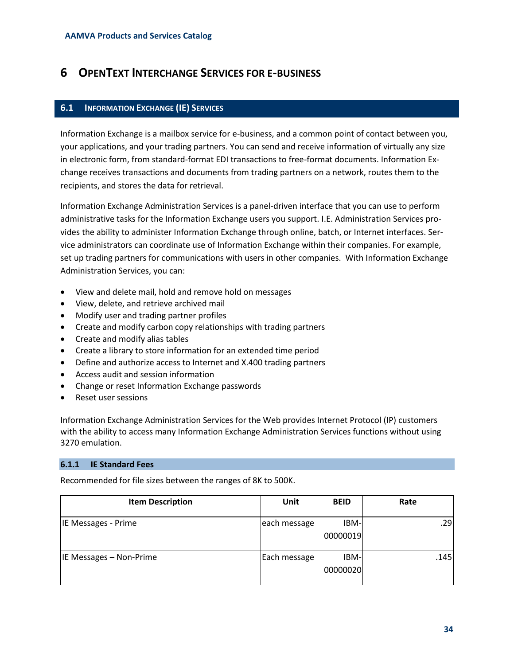# <span id="page-33-0"></span>**6 OPENTEXT INTERCHANGE SERVICES FOR E-BUSINESS**

# <span id="page-33-1"></span>**6.1 INFORMATION EXCHANGE (IE) SERVICES**

Information Exchange is a mailbox service for e-business, and a common point of contact between you, your applications, and your trading partners. You can send and receive information of virtually any size in electronic form, from standard-format EDI transactions to free-format documents. Information Exchange receives transactions and documents from trading partners on a network, routes them to the recipients, and stores the data for retrieval.

Information Exchange Administration Services is a panel-driven interface that you can use to perform administrative tasks for the Information Exchange users you support. I.E. Administration Services provides the ability to administer Information Exchange through online, batch, or Internet interfaces. Service administrators can coordinate use of Information Exchange within their companies. For example, set up trading partners for communications with users in other companies. With Information Exchange Administration Services, you can:

- View and delete mail, hold and remove hold on messages
- View, delete, and retrieve archived mail
- Modify user and trading partner profiles
- Create and modify carbon copy relationships with trading partners
- Create and modify alias tables
- Create a library to store information for an extended time period
- Define and authorize access to Internet and X.400 trading partners
- Access audit and session information
- Change or reset Information Exchange passwords
- Reset user sessions

Information Exchange Administration Services for the Web provides Internet Protocol (IP) customers with the ability to access many Information Exchange Administration Services functions without using 3270 emulation.

#### <span id="page-33-2"></span>**6.1.1 IE Standard Fees**

Recommended for file sizes between the ranges of 8K to 500K.

| <b>Item Description</b> | Unit         | <b>BEID</b>             | Rate |
|-------------------------|--------------|-------------------------|------|
| IE Messages - Prime     | each message | IBM-<br>00000019        | .29  |
| IE Messages - Non-Prime | Each message | <b>IBM-</b><br>00000020 | .145 |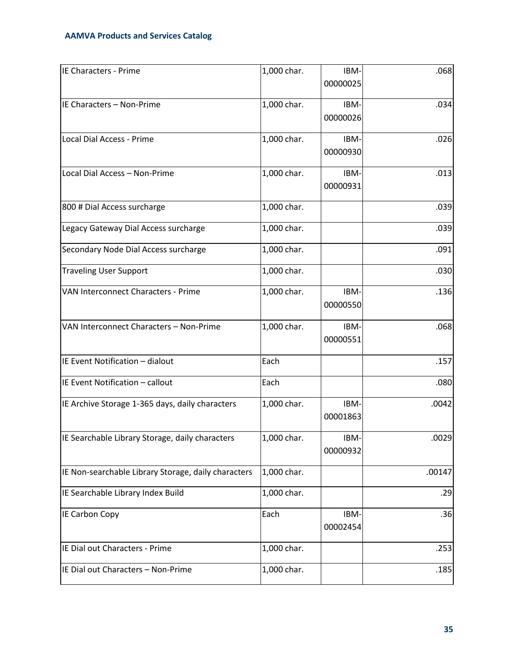| IE Characters - Prime                               | 1,000 char. | IBM-             | .068   |
|-----------------------------------------------------|-------------|------------------|--------|
|                                                     |             | 00000025         |        |
| IE Characters - Non-Prime                           | 1,000 char. | IBM-<br>00000026 | .034   |
| Local Dial Access - Prime                           | 1,000 char. | IBM-<br>00000930 | .026   |
| Local Dial Access - Non-Prime                       | 1,000 char. | IBM-<br>00000931 | .013   |
| 800 # Dial Access surcharge                         | 1,000 char. |                  | .039   |
| Legacy Gateway Dial Access surcharge                | 1,000 char. |                  | .039   |
| Secondary Node Dial Access surcharge                | 1,000 char. |                  | .091   |
| <b>Traveling User Support</b>                       | 1,000 char. |                  | .030   |
| VAN Interconnect Characters - Prime                 | 1,000 char. | IBM-<br>00000550 | .136   |
| VAN Interconnect Characters - Non-Prime             | 1,000 char. | IBM-<br>00000551 | .068   |
| IE Event Notification - dialout                     | Each        |                  | .157   |
| IE Event Notification - callout                     | Each        |                  | .080   |
| IE Archive Storage 1-365 days, daily characters     | 1,000 char. | IBM-<br>00001863 | .0042  |
| IE Searchable Library Storage, daily characters     | 1,000 char. | IBM-<br>00000932 | .0029  |
| IE Non-searchable Library Storage, daily characters | 1,000 char. |                  | .00147 |
| IE Searchable Library Index Build                   | 1,000 char. |                  | .29    |
| <b>IE Carbon Copy</b>                               | Each        | IBM-<br>00002454 | .36    |
| IE Dial out Characters - Prime                      | 1,000 char. |                  | .253   |
| IE Dial out Characters - Non-Prime                  | 1,000 char. |                  | .185   |